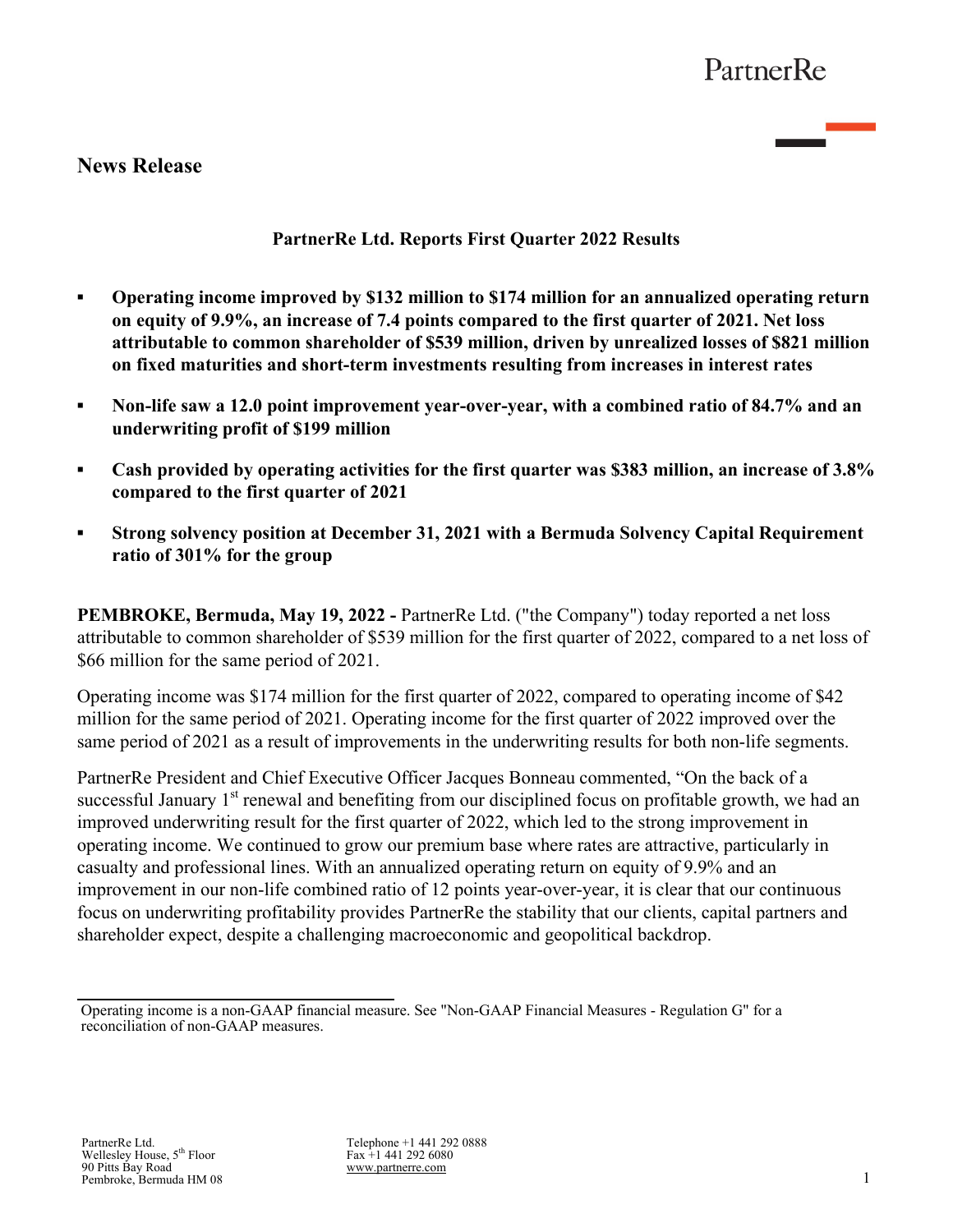# **News Release**

# **PartnerRe Ltd. Reports First Quarter 2022 Results**

- **Operating income improved by \$132 million to \$174 million for an annualized operating return on equity of 9.9%, an increase of 7.4 points compared to the first quarter of 2021. Net loss attributable to common shareholder of \$539 million, driven by unrealized losses of \$821 million on fixed maturities and short-term investments resulting from increases in interest rates**
- **Non-life saw a 12.0 point improvement year-over-year, with a combined ratio of 84.7% and an underwriting profit of \$199 million**
- **Cash provided by operating activities for the first quarter was \$383 million, an increase of 3.8% compared to the first quarter of 2021**
- **Strong solvency position at December 31, 2021 with a Bermuda Solvency Capital Requirement ratio of 301% for the group**

**PEMBROKE, Bermuda, May 19, 2022 -** PartnerRe Ltd. ("the Company") today reported a net loss attributable to common shareholder of \$539 million for the first quarter of 2022, compared to a net loss of \$66 million for the same period of 2021.

Operating income was \$174 million for the first quarter of 2022, compared to operating income of \$42 million for the same period of 2021. Operating income for the first quarter of 2022 improved over the same period of 2021 as a result of improvements in the underwriting results for both non-life segments.

PartnerRe President and Chief Executive Officer Jacques Bonneau commented, "On the back of a successful January 1<sup>st</sup> renewal and benefiting from our disciplined focus on profitable growth, we had an improved underwriting result for the first quarter of 2022, which led to the strong improvement in operating income. We continued to grow our premium base where rates are attractive, particularly in casualty and professional lines. With an annualized operating return on equity of 9.9% and an improvement in our non-life combined ratio of 12 points year-over-year, it is clear that our continuous focus on underwriting profitability provides PartnerRe the stability that our clients, capital partners and shareholder expect, despite a challenging macroeconomic and geopolitical backdrop.

Operating income is a non-GAAP financial measure. See "Non-GAAP Financial Measures - Regulation G" for a reconciliation of non-GAAP measures.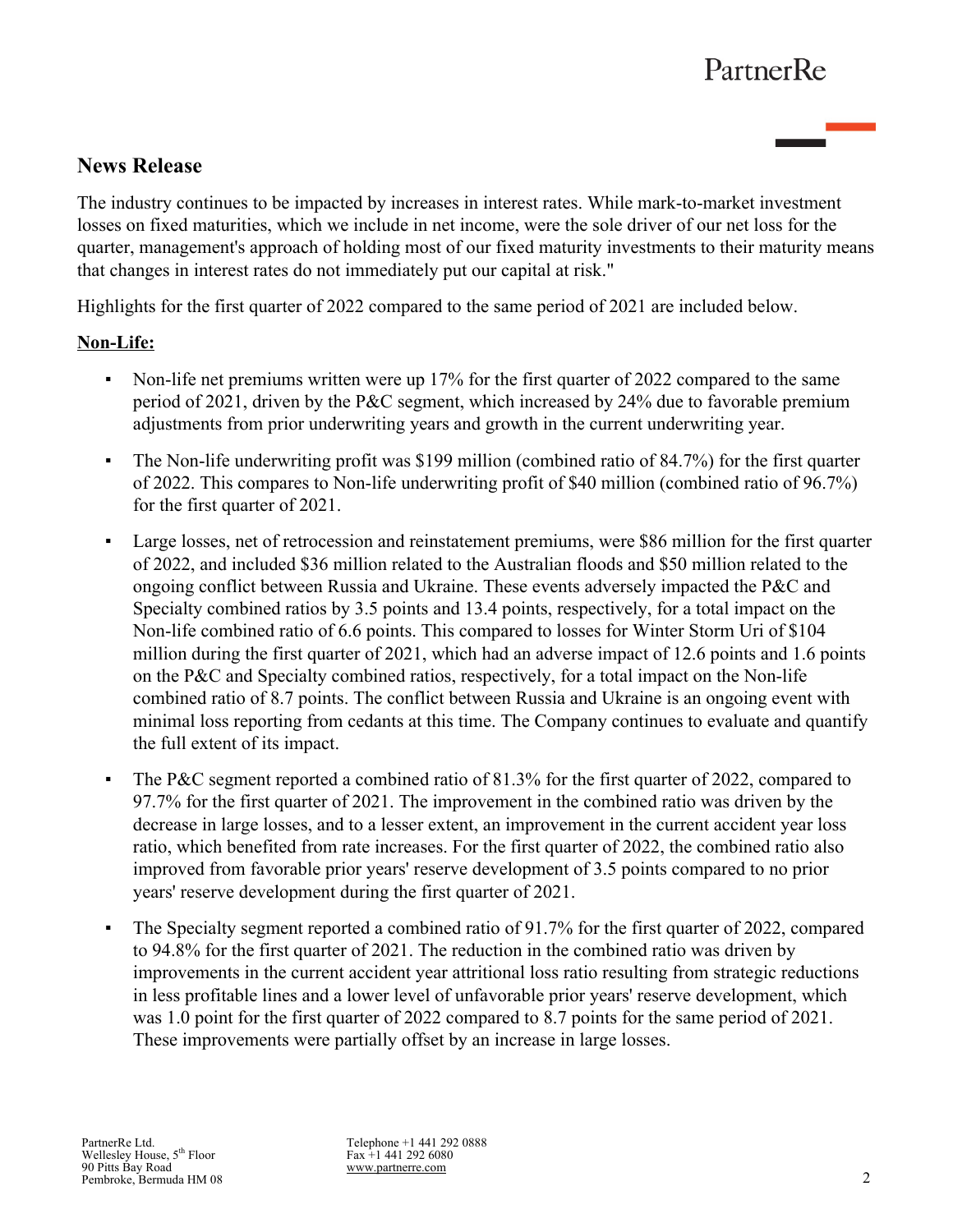# **News Release**

The industry continues to be impacted by increases in interest rates. While mark-to-market investment losses on fixed maturities, which we include in net income, were the sole driver of our net loss for the quarter, management's approach of holding most of our fixed maturity investments to their maturity means that changes in interest rates do not immediately put our capital at risk."

Highlights for the first quarter of 2022 compared to the same period of 2021 are included below.

# **Non-Life:**

- Non-life net premiums written were up 17% for the first quarter of 2022 compared to the same period of 2021, driven by the P&C segment, which increased by 24% due to favorable premium adjustments from prior underwriting years and growth in the current underwriting year.
- The Non-life underwriting profit was \$199 million (combined ratio of 84.7%) for the first quarter of 2022. This compares to Non-life underwriting profit of \$40 million (combined ratio of 96.7%) for the first quarter of 2021.
- Large losses, net of retrocession and reinstatement premiums, were \$86 million for the first quarter of 2022, and included \$36 million related to the Australian floods and \$50 million related to the ongoing conflict between Russia and Ukraine. These events adversely impacted the P&C and Specialty combined ratios by 3.5 points and 13.4 points, respectively, for a total impact on the Non-life combined ratio of 6.6 points. This compared to losses for Winter Storm Uri of \$104 million during the first quarter of 2021, which had an adverse impact of 12.6 points and 1.6 points on the P&C and Specialty combined ratios, respectively, for a total impact on the Non-life combined ratio of 8.7 points. The conflict between Russia and Ukraine is an ongoing event with minimal loss reporting from cedants at this time. The Company continues to evaluate and quantify the full extent of its impact.
- The P&C segment reported a combined ratio of 81.3% for the first quarter of 2022, compared to 97.7% for the first quarter of 2021. The improvement in the combined ratio was driven by the decrease in large losses, and to a lesser extent, an improvement in the current accident year loss ratio, which benefited from rate increases. For the first quarter of 2022, the combined ratio also improved from favorable prior years' reserve development of 3.5 points compared to no prior years' reserve development during the first quarter of 2021.
- The Specialty segment reported a combined ratio of 91.7% for the first quarter of 2022, compared to 94.8% for the first quarter of 2021. The reduction in the combined ratio was driven by improvements in the current accident year attritional loss ratio resulting from strategic reductions in less profitable lines and a lower level of unfavorable prior years' reserve development, which was 1.0 point for the first quarter of 2022 compared to 8.7 points for the same period of 2021. These improvements were partially offset by an increase in large losses.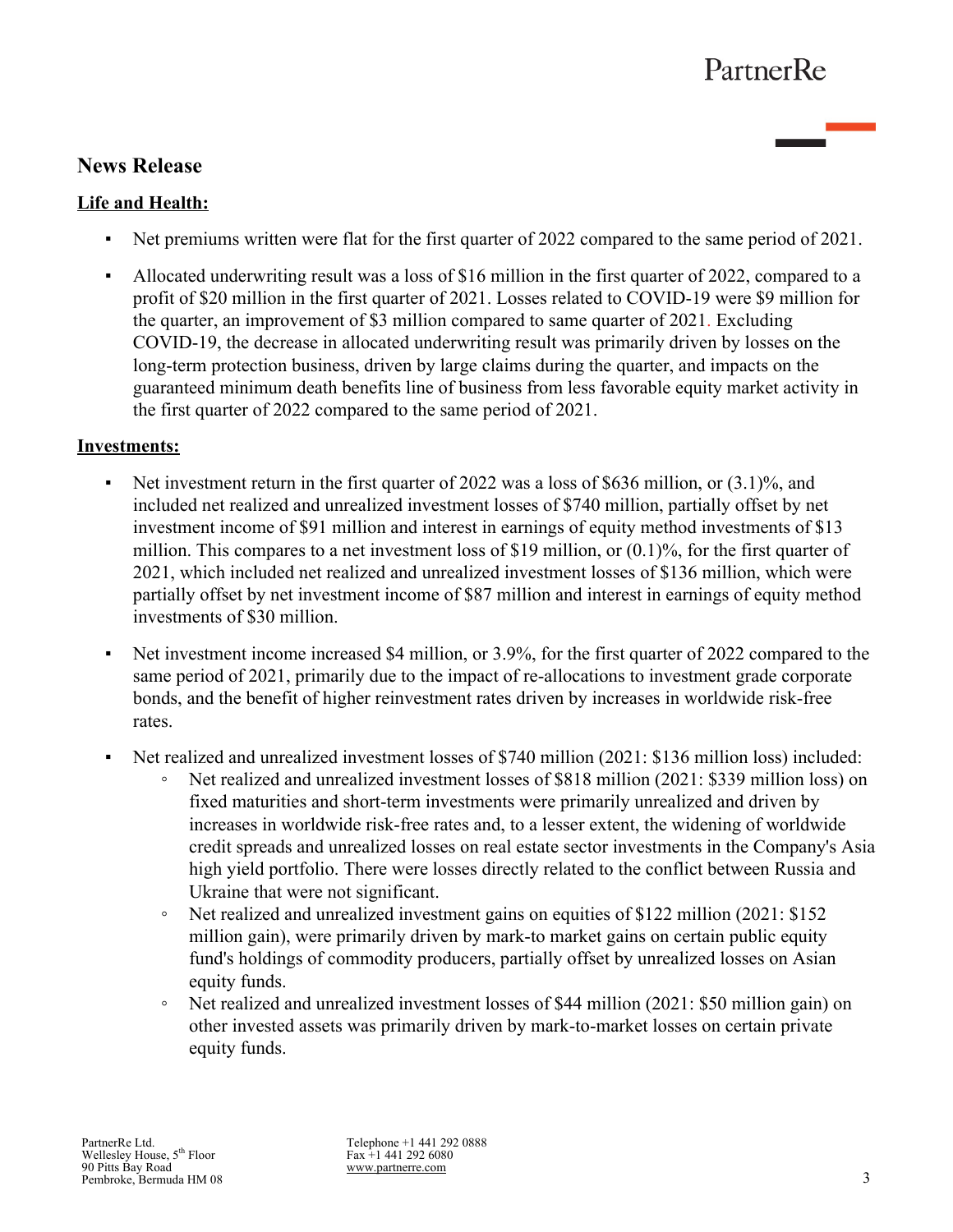# **News Release**

# **Life and Health:**

- Net premiums written were flat for the first quarter of 2022 compared to the same period of 2021.
- Allocated underwriting result was a loss of \$16 million in the first quarter of 2022, compared to a profit of \$20 million in the first quarter of 2021. Losses related to COVID-19 were \$9 million for the quarter, an improvement of \$3 million compared to same quarter of 2021. Excluding COVID-19, the decrease in allocated underwriting result was primarily driven by losses on the long-term protection business, driven by large claims during the quarter, and impacts on the guaranteed minimum death benefits line of business from less favorable equity market activity in the first quarter of 2022 compared to the same period of 2021.

# **Investments:**

- Exercise 1 Net investment return in the first quarter of 2022 was a loss of \$636 million, or  $(3.1)$ %, and included net realized and unrealized investment losses of \$740 million, partially offset by net investment income of \$91 million and interest in earnings of equity method investments of \$13 million. This compares to a net investment loss of \$19 million, or  $(0.1)\%$ , for the first quarter of 2021, which included net realized and unrealized investment losses of \$136 million, which were partially offset by net investment income of \$87 million and interest in earnings of equity method investments of \$30 million.
- Net investment income increased \$4 million, or 3.9%, for the first quarter of 2022 compared to the same period of 2021, primarily due to the impact of re-allocations to investment grade corporate bonds, and the benefit of higher reinvestment rates driven by increases in worldwide risk-free rates.
- Net realized and unrealized investment losses of \$740 million (2021: \$136 million loss) included:
	- Net realized and unrealized investment losses of \$818 million (2021: \$339 million loss) on fixed maturities and short-term investments were primarily unrealized and driven by increases in worldwide risk-free rates and, to a lesser extent, the widening of worldwide credit spreads and unrealized losses on real estate sector investments in the Company's Asia high yield portfolio. There were losses directly related to the conflict between Russia and Ukraine that were not significant.
	- Net realized and unrealized investment gains on equities of \$122 million (2021: \$152 million gain), were primarily driven by mark-to market gains on certain public equity fund's holdings of commodity producers, partially offset by unrealized losses on Asian equity funds.
	- Net realized and unrealized investment losses of \$44 million (2021: \$50 million gain) on other invested assets was primarily driven by mark-to-market losses on certain private equity funds.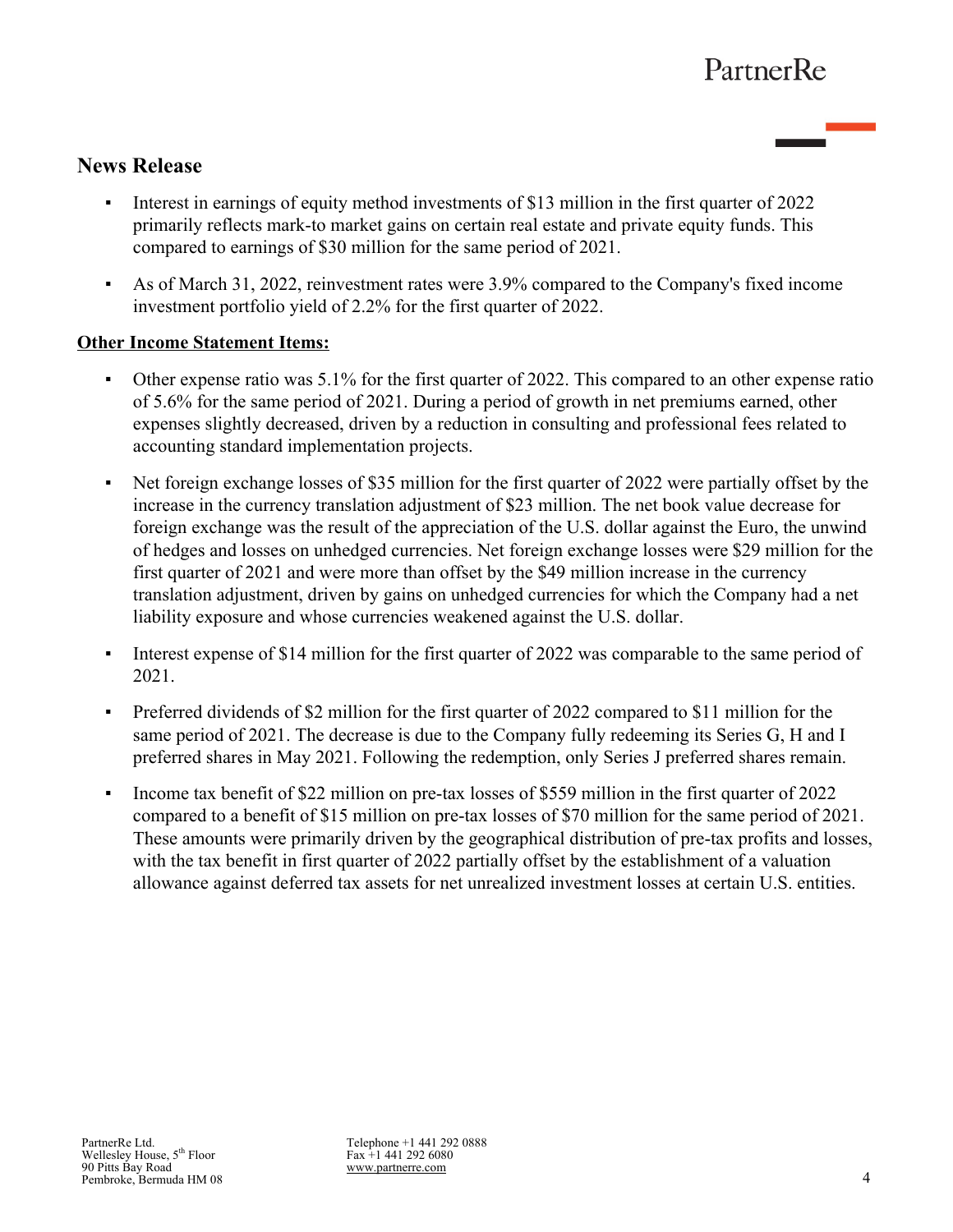# **News Release**

- Interest in earnings of equity method investments of \$13 million in the first quarter of 2022 primarily reflects mark-to market gains on certain real estate and private equity funds. This compared to earnings of \$30 million for the same period of 2021.
- As of March 31, 2022, reinvestment rates were 3.9% compared to the Company's fixed income investment portfolio yield of 2.2% for the first quarter of 2022.

# **Other Income Statement Items:**

- Other expense ratio was 5.1% for the first quarter of 2022. This compared to an other expense ratio of 5.6% for the same period of 2021. During a period of growth in net premiums earned, other expenses slightly decreased, driven by a reduction in consulting and professional fees related to accounting standard implementation projects.
- Net foreign exchange losses of \$35 million for the first quarter of 2022 were partially offset by the increase in the currency translation adjustment of \$23 million. The net book value decrease for foreign exchange was the result of the appreciation of the U.S. dollar against the Euro, the unwind of hedges and losses on unhedged currencies. Net foreign exchange losses were \$29 million for the first quarter of 2021 and were more than offset by the \$49 million increase in the currency translation adjustment, driven by gains on unhedged currencies for which the Company had a net liability exposure and whose currencies weakened against the U.S. dollar.
- **•** Interest expense of \$14 million for the first quarter of 2022 was comparable to the same period of 2021.
- Preferred dividends of \$2 million for the first quarter of 2022 compared to \$11 million for the same period of 2021. The decrease is due to the Company fully redeeming its Series G, H and I preferred shares in May 2021. Following the redemption, only Series J preferred shares remain.
- Income tax benefit of \$22 million on pre-tax losses of \$559 million in the first quarter of 2022 compared to a benefit of \$15 million on pre-tax losses of \$70 million for the same period of 2021. These amounts were primarily driven by the geographical distribution of pre-tax profits and losses, with the tax benefit in first quarter of 2022 partially offset by the establishment of a valuation allowance against deferred tax assets for net unrealized investment losses at certain U.S. entities.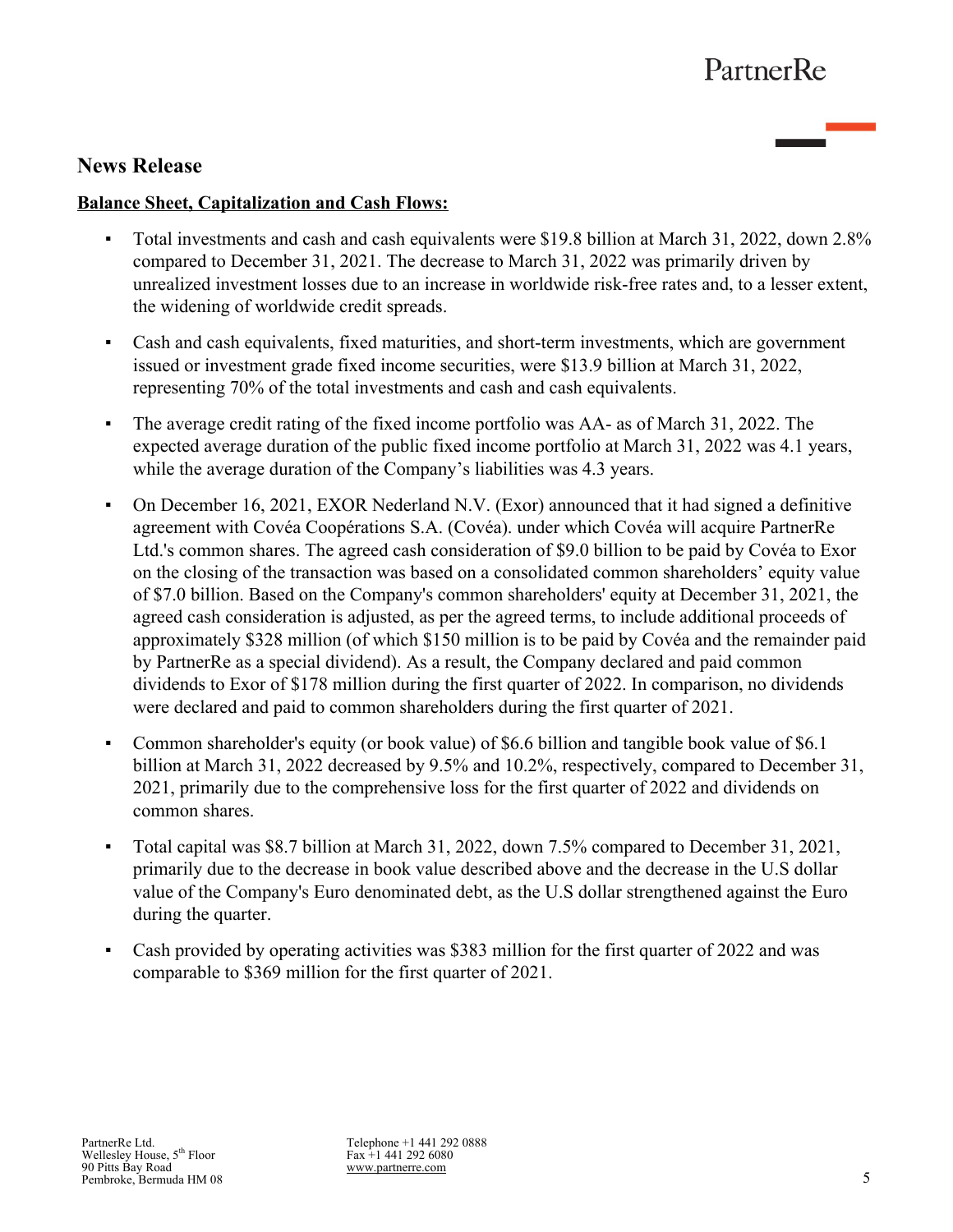# **News Release**

# **Balance Sheet, Capitalization and Cash Flows:**

- Total investments and cash and cash equivalents were \$19.8 billion at March 31, 2022, down 2.8% compared to December 31, 2021. The decrease to March 31, 2022 was primarily driven by unrealized investment losses due to an increase in worldwide risk-free rates and, to a lesser extent, the widening of worldwide credit spreads.
- Cash and cash equivalents, fixed maturities, and short-term investments, which are government issued or investment grade fixed income securities, were \$13.9 billion at March 31, 2022, representing 70% of the total investments and cash and cash equivalents.
- The average credit rating of the fixed income portfolio was AA- as of March 31, 2022. The expected average duration of the public fixed income portfolio at March 31, 2022 was 4.1 years, while the average duration of the Company's liabilities was 4.3 years.
- On December 16, 2021, EXOR Nederland N.V. (Exor) announced that it had signed a definitive agreement with Covéa Coopérations S.A. (Covéa). under which Covéa will acquire PartnerRe Ltd.'s common shares. The agreed cash consideration of \$9.0 billion to be paid by Covéa to Exor on the closing of the transaction was based on a consolidated common shareholders' equity value of \$7.0 billion. Based on the Company's common shareholders' equity at December 31, 2021, the agreed cash consideration is adjusted, as per the agreed terms, to include additional proceeds of approximately \$328 million (of which \$150 million is to be paid by Covéa and the remainder paid by PartnerRe as a special dividend). As a result, the Company declared and paid common dividends to Exor of \$178 million during the first quarter of 2022. In comparison, no dividends were declared and paid to common shareholders during the first quarter of 2021.
- Common shareholder's equity (or book value) of \$6.6 billion and tangible book value of \$6.1 billion at March 31, 2022 decreased by 9.5% and 10.2%, respectively, compared to December 31, 2021, primarily due to the comprehensive loss for the first quarter of 2022 and dividends on common shares.
- Total capital was \$8.7 billion at March 31, 2022, down 7.5% compared to December 31, 2021, primarily due to the decrease in book value described above and the decrease in the U.S dollar value of the Company's Euro denominated debt, as the U.S dollar strengthened against the Euro during the quarter.
- Cash provided by operating activities was \$383 million for the first quarter of 2022 and was comparable to \$369 million for the first quarter of 2021.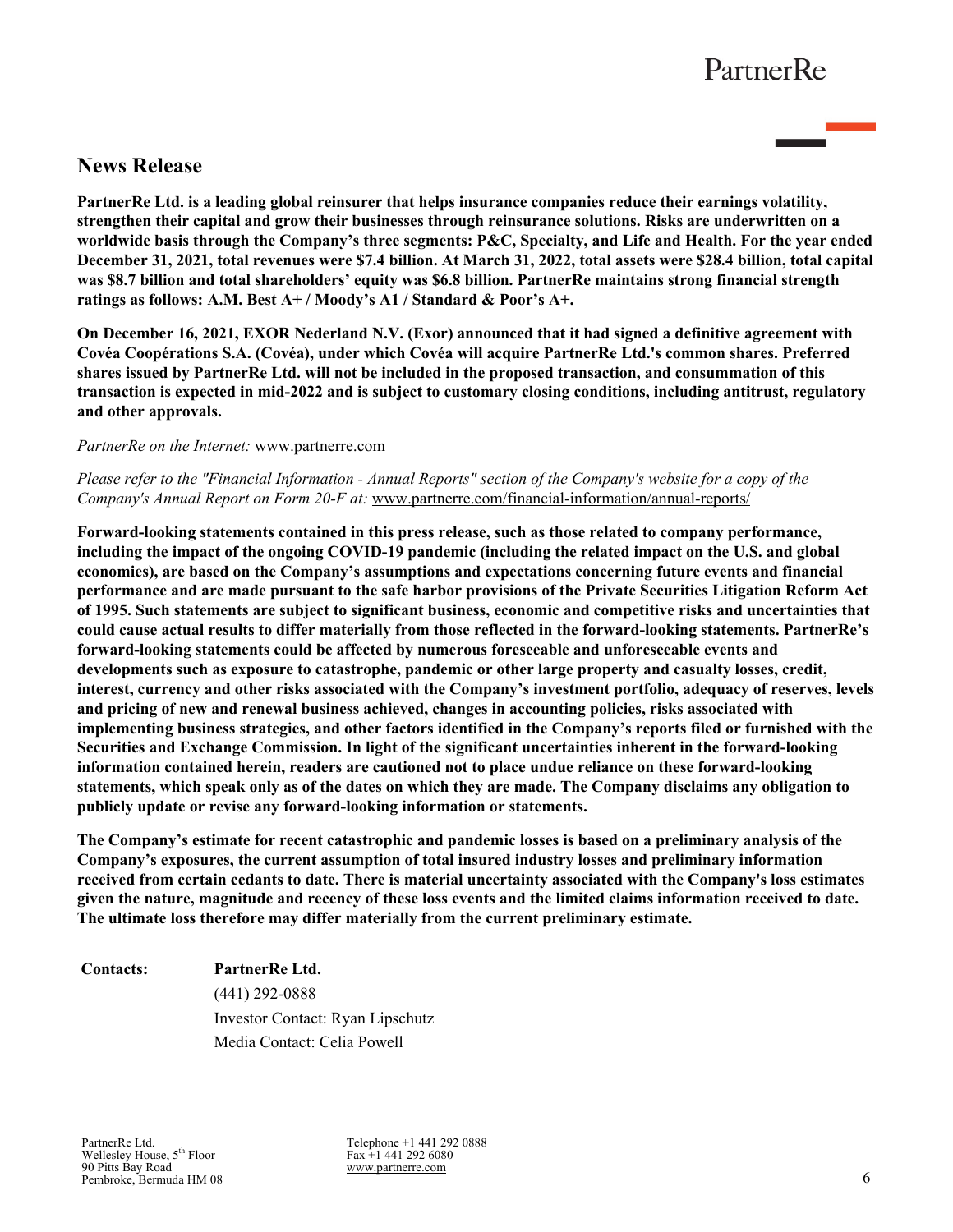# **News Release**

**PartnerRe Ltd. is a leading global reinsurer that helps insurance companies reduce their earnings volatility, strengthen their capital and grow their businesses through reinsurance solutions. Risks are underwritten on a worldwide basis through the Company's three segments: P&C, Specialty, and Life and Health. For the year ended December 31, 2021, total revenues were \$7.4 billion. At March 31, 2022, total assets were \$28.4 billion, total capital was \$8.7 billion and total shareholders' equity was \$6.8 billion. PartnerRe maintains strong financial strength ratings as follows: A.M. Best A+ / Moody's A1 / Standard & Poor's A+.** 

**On December 16, 2021, EXOR Nederland N.V. (Exor) announced that it had signed a definitive agreement with Covéa Coopérations S.A. (Covéa), under which Covéa will acquire PartnerRe Ltd.'s common shares. Preferred shares issued by PartnerRe Ltd. will not be included in the proposed transaction, and consummation of this transaction is expected in mid-2022 and is subject to customary closing conditions, including antitrust, regulatory and other approvals.**

### *PartnerRe on the Internet:* www.partnerre.com

## *Please refer to the "Financial Information - Annual Reports" section of the Company's website for a copy of the Company's Annual Report on Form 20-F at:* www.partnerre.com/financial-information/annual-reports/

**Forward-looking statements contained in this press release, such as those related to company performance, including the impact of the ongoing COVID-19 pandemic (including the related impact on the U.S. and global economies), are based on the Company's assumptions and expectations concerning future events and financial performance and are made pursuant to the safe harbor provisions of the Private Securities Litigation Reform Act of 1995. Such statements are subject to significant business, economic and competitive risks and uncertainties that could cause actual results to differ materially from those reflected in the forward-looking statements. PartnerRe's forward-looking statements could be affected by numerous foreseeable and unforeseeable events and developments such as exposure to catastrophe, pandemic or other large property and casualty losses, credit, interest, currency and other risks associated with the Company's investment portfolio, adequacy of reserves, levels and pricing of new and renewal business achieved, changes in accounting policies, risks associated with implementing business strategies, and other factors identified in the Company's reports filed or furnished with the Securities and Exchange Commission. In light of the significant uncertainties inherent in the forward-looking information contained herein, readers are cautioned not to place undue reliance on these forward-looking statements, which speak only as of the dates on which they are made. The Company disclaims any obligation to publicly update or revise any forward-looking information or statements.**

**The Company's estimate for recent catastrophic and pandemic losses is based on a preliminary analysis of the Company's exposures, the current assumption of total insured industry losses and preliminary information received from certain cedants to date. There is material uncertainty associated with the Company's loss estimates given the nature, magnitude and recency of these loss events and the limited claims information received to date. The ultimate loss therefore may differ materially from the current preliminary estimate.**

**Contacts: PartnerRe Ltd.** (441) 292-0888 Investor Contact: Ryan Lipschutz Media Contact: Celia Powell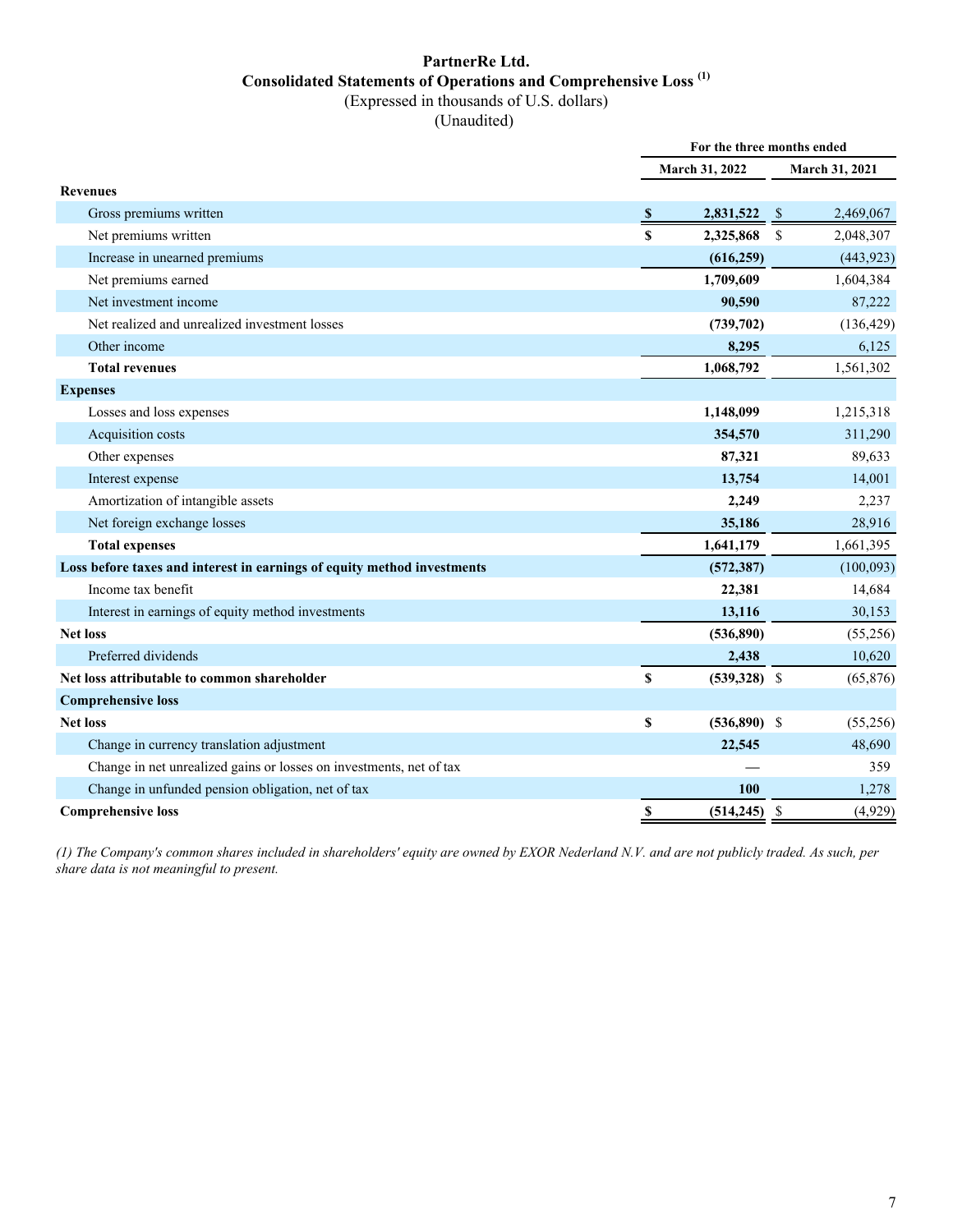## **PartnerRe Ltd. Consolidated Statements of Operations and Comprehensive Loss (1)** (Expressed in thousands of U.S. dollars)

(Unaudited)

|                                                                         | For the three months ended |                       |               |                |
|-------------------------------------------------------------------------|----------------------------|-----------------------|---------------|----------------|
|                                                                         |                            | <b>March 31, 2022</b> |               | March 31, 2021 |
| <b>Revenues</b>                                                         |                            |                       |               |                |
| Gross premiums written                                                  | <sup>\$</sup>              | 2,831,522             | $\mathcal{S}$ | 2,469,067      |
| Net premiums written                                                    | $\mathbf{s}$               | 2,325,868             | <sup>\$</sup> | 2,048,307      |
| Increase in unearned premiums                                           |                            | (616, 259)            |               | (443, 923)     |
| Net premiums earned                                                     |                            | 1,709,609             |               | 1,604,384      |
| Net investment income                                                   |                            | 90,590                |               | 87,222         |
| Net realized and unrealized investment losses                           |                            | (739,702)             |               | (136, 429)     |
| Other income                                                            |                            | 8,295                 |               | 6,125          |
| <b>Total revenues</b>                                                   |                            | 1,068,792             |               | 1,561,302      |
| <b>Expenses</b>                                                         |                            |                       |               |                |
| Losses and loss expenses                                                |                            | 1,148,099             |               | 1,215,318      |
| Acquisition costs                                                       |                            | 354,570               |               | 311,290        |
| Other expenses                                                          |                            | 87,321                |               | 89,633         |
| Interest expense                                                        |                            | 13,754                |               | 14,001         |
| Amortization of intangible assets                                       |                            | 2,249                 |               | 2,237          |
| Net foreign exchange losses                                             |                            | 35,186                |               | 28,916         |
| <b>Total expenses</b>                                                   |                            | 1,641,179             |               | 1,661,395      |
| Loss before taxes and interest in earnings of equity method investments |                            | (572, 387)            |               | (100,093)      |
| Income tax benefit                                                      |                            | 22,381                |               | 14,684         |
| Interest in earnings of equity method investments                       |                            | 13,116                |               | 30,153         |
| <b>Net loss</b>                                                         |                            | (536,890)             |               | (55,256)       |
| Preferred dividends                                                     |                            | 2,438                 |               | 10,620         |
| Net loss attributable to common shareholder                             | \$                         | $(539,328)$ \$        |               | (65, 876)      |
| <b>Comprehensive loss</b>                                               |                            |                       |               |                |
| <b>Net loss</b>                                                         | \$                         | $(536,890)$ \$        |               | (55,256)       |
| Change in currency translation adjustment                               |                            | 22,545                |               | 48,690         |
| Change in net unrealized gains or losses on investments, net of tax     |                            |                       |               | 359            |
| Change in unfunded pension obligation, net of tax                       |                            | 100                   |               | 1,278          |
| <b>Comprehensive loss</b>                                               | \$                         | $(514, 245)$ \$       |               | (4,929)        |

*(1) The Company's common shares included in shareholders' equity are owned by EXOR Nederland N.V. and are not publicly traded. As such, per share data is not meaningful to present.*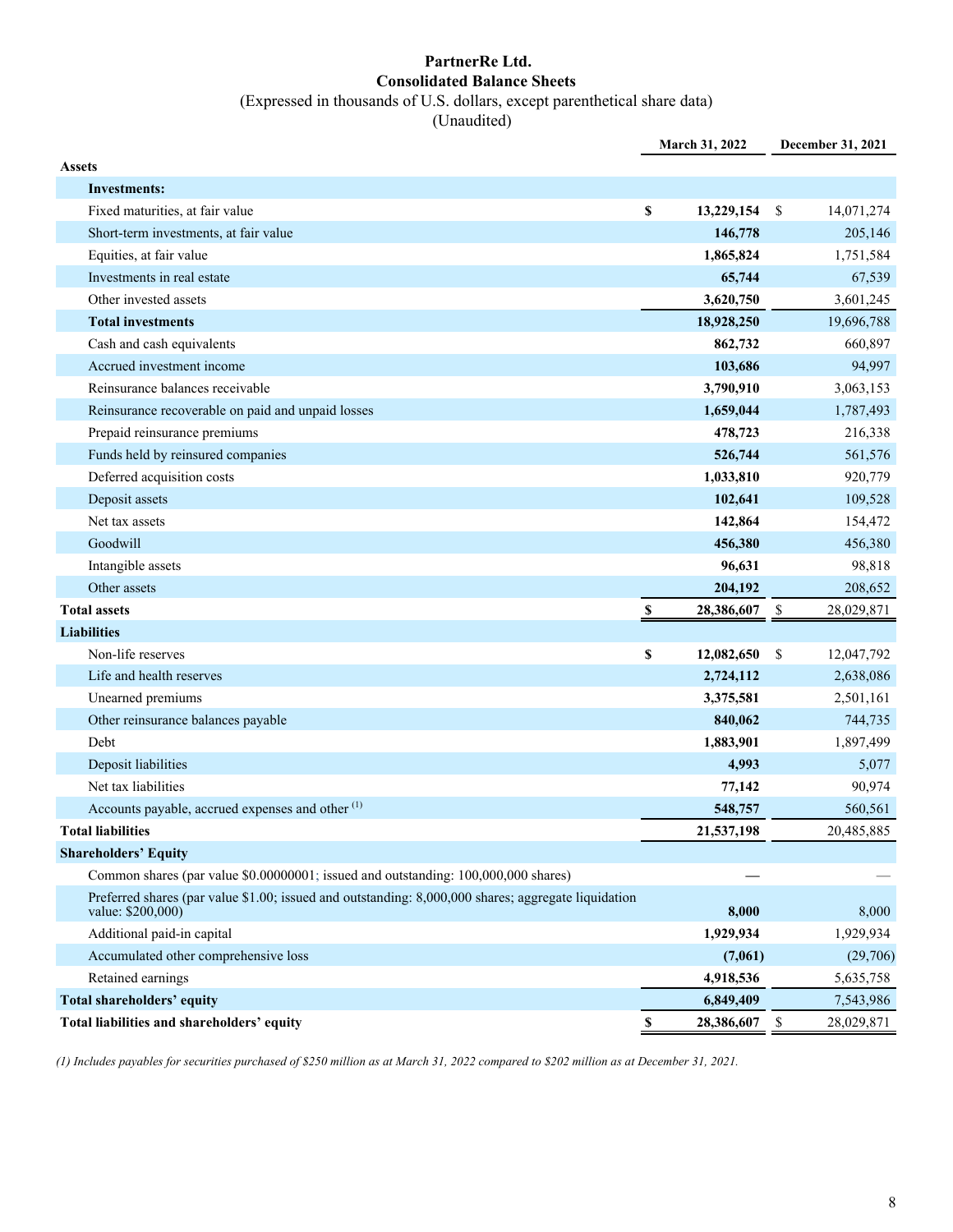## **PartnerRe Ltd. Consolidated Balance Sheets** (Expressed in thousands of U.S. dollars, except parenthetical share data)

(Unaudited)

|                                                                                                                          | March 31, 2022            |            |                           | December 31, 2021 |  |  |
|--------------------------------------------------------------------------------------------------------------------------|---------------------------|------------|---------------------------|-------------------|--|--|
| <b>Assets</b>                                                                                                            |                           |            |                           |                   |  |  |
| Investments:                                                                                                             |                           |            |                           |                   |  |  |
| Fixed maturities, at fair value                                                                                          | \$                        | 13,229,154 | \$                        | 14,071,274        |  |  |
| Short-term investments, at fair value                                                                                    |                           | 146,778    |                           | 205,146           |  |  |
| Equities, at fair value                                                                                                  |                           | 1,865,824  |                           | 1,751,584         |  |  |
| Investments in real estate                                                                                               |                           | 65,744     |                           | 67,539            |  |  |
| Other invested assets                                                                                                    |                           | 3,620,750  |                           | 3,601,245         |  |  |
| <b>Total investments</b>                                                                                                 |                           | 18,928,250 |                           | 19,696,788        |  |  |
| Cash and cash equivalents                                                                                                |                           | 862,732    |                           | 660,897           |  |  |
| Accrued investment income                                                                                                |                           | 103,686    |                           | 94,997            |  |  |
| Reinsurance balances receivable                                                                                          |                           | 3,790,910  |                           | 3,063,153         |  |  |
| Reinsurance recoverable on paid and unpaid losses                                                                        |                           | 1,659,044  |                           | 1,787,493         |  |  |
| Prepaid reinsurance premiums                                                                                             |                           | 478,723    |                           | 216,338           |  |  |
| Funds held by reinsured companies                                                                                        |                           | 526,744    |                           | 561,576           |  |  |
| Deferred acquisition costs                                                                                               |                           | 1,033,810  |                           | 920,779           |  |  |
| Deposit assets                                                                                                           |                           | 102,641    |                           | 109,528           |  |  |
| Net tax assets                                                                                                           |                           | 142,864    |                           | 154,472           |  |  |
| Goodwill                                                                                                                 |                           | 456,380    |                           | 456,380           |  |  |
| Intangible assets                                                                                                        |                           | 96,631     |                           | 98,818            |  |  |
| Other assets                                                                                                             |                           | 204,192    |                           | 208,652           |  |  |
| <b>Total assets</b>                                                                                                      | \$                        | 28,386,607 | - \$                      | 28,029,871        |  |  |
| <b>Liabilities</b>                                                                                                       |                           |            |                           |                   |  |  |
| Non-life reserves                                                                                                        | \$                        | 12,082,650 | \$                        | 12,047,792        |  |  |
| Life and health reserves                                                                                                 |                           | 2,724,112  |                           | 2,638,086         |  |  |
| Unearned premiums                                                                                                        |                           | 3,375,581  |                           | 2,501,161         |  |  |
| Other reinsurance balances payable                                                                                       |                           | 840,062    |                           | 744,735           |  |  |
| Debt                                                                                                                     |                           | 1,883,901  |                           | 1,897,499         |  |  |
| Deposit liabilities                                                                                                      |                           | 4,993      |                           | 5,077             |  |  |
| Net tax liabilities                                                                                                      |                           | 77,142     |                           | 90,974            |  |  |
| Accounts payable, accrued expenses and other <sup>(1)</sup>                                                              |                           | 548,757    |                           | 560,561           |  |  |
| <b>Total liabilities</b>                                                                                                 |                           | 21,537,198 |                           | 20,485,885        |  |  |
| <b>Shareholders' Equity</b>                                                                                              |                           |            |                           |                   |  |  |
| Common shares (par value \$0.00000001; issued and outstanding: 100,000,000 shares)                                       |                           |            |                           |                   |  |  |
| Preferred shares (par value \$1.00; issued and outstanding: 8,000,000 shares; aggregate liquidation<br>value: \$200,000) |                           | 8,000      |                           | 8,000             |  |  |
| Additional paid-in capital                                                                                               |                           | 1,929,934  |                           | 1,929,934         |  |  |
| Accumulated other comprehensive loss                                                                                     |                           | (7,061)    |                           | (29,706)          |  |  |
| Retained earnings                                                                                                        |                           | 4,918,536  |                           | 5,635,758         |  |  |
| Total shareholders' equity                                                                                               |                           | 6,849,409  |                           | 7,543,986         |  |  |
| Total liabilities and shareholders' equity                                                                               | $\boldsymbol{\mathsf{S}}$ | 28,386,607 | $\boldsymbol{\mathsf{S}}$ | 28,029,871        |  |  |

*(1) Includes payables for securities purchased of \$250 million as at March 31, 2022 compared to \$202 million as at December 31, 2021.*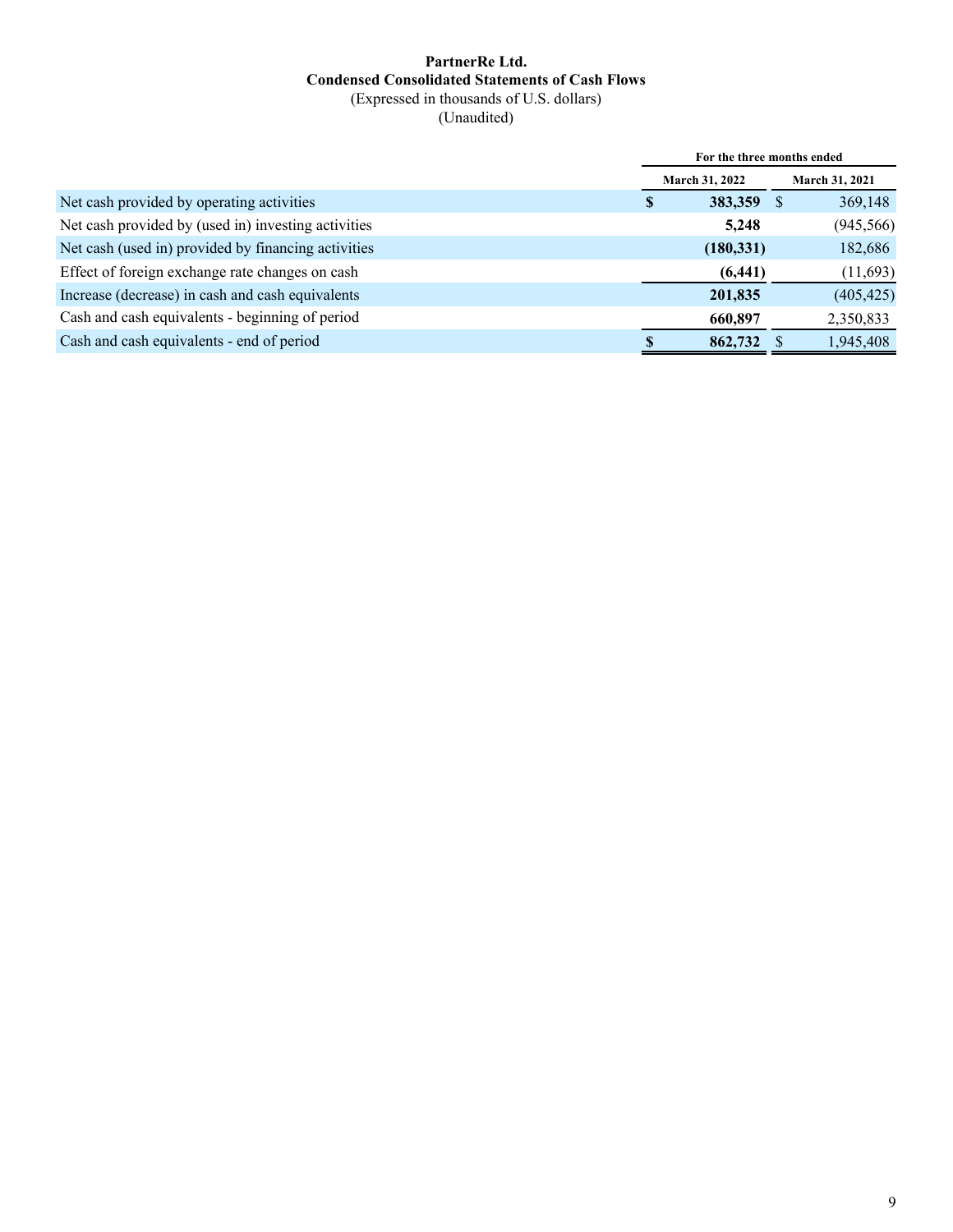# **PartnerRe Ltd. Condensed Consolidated Statements of Cash Flows** (Expressed in thousands of U.S. dollars)

(Unaudited)

|                                                     | For the three months ended |            |   |                       |  |  |
|-----------------------------------------------------|----------------------------|------------|---|-----------------------|--|--|
|                                                     | March 31, 2022             |            |   | <b>March 31, 2021</b> |  |  |
| Net cash provided by operating activities           | S                          | 383,359    | S | 369,148               |  |  |
| Net cash provided by (used in) investing activities |                            | 5,248      |   | (945, 566)            |  |  |
| Net cash (used in) provided by financing activities |                            | (180, 331) |   | 182,686               |  |  |
| Effect of foreign exchange rate changes on cash     |                            | (6, 441)   |   | (11,693)              |  |  |
| Increase (decrease) in cash and cash equivalents    |                            | 201,835    |   | (405, 425)            |  |  |
| Cash and cash equivalents - beginning of period     |                            | 660,897    |   | 2,350,833             |  |  |
| Cash and cash equivalents - end of period           |                            | 862,732    |   | 1,945,408             |  |  |
|                                                     |                            |            |   |                       |  |  |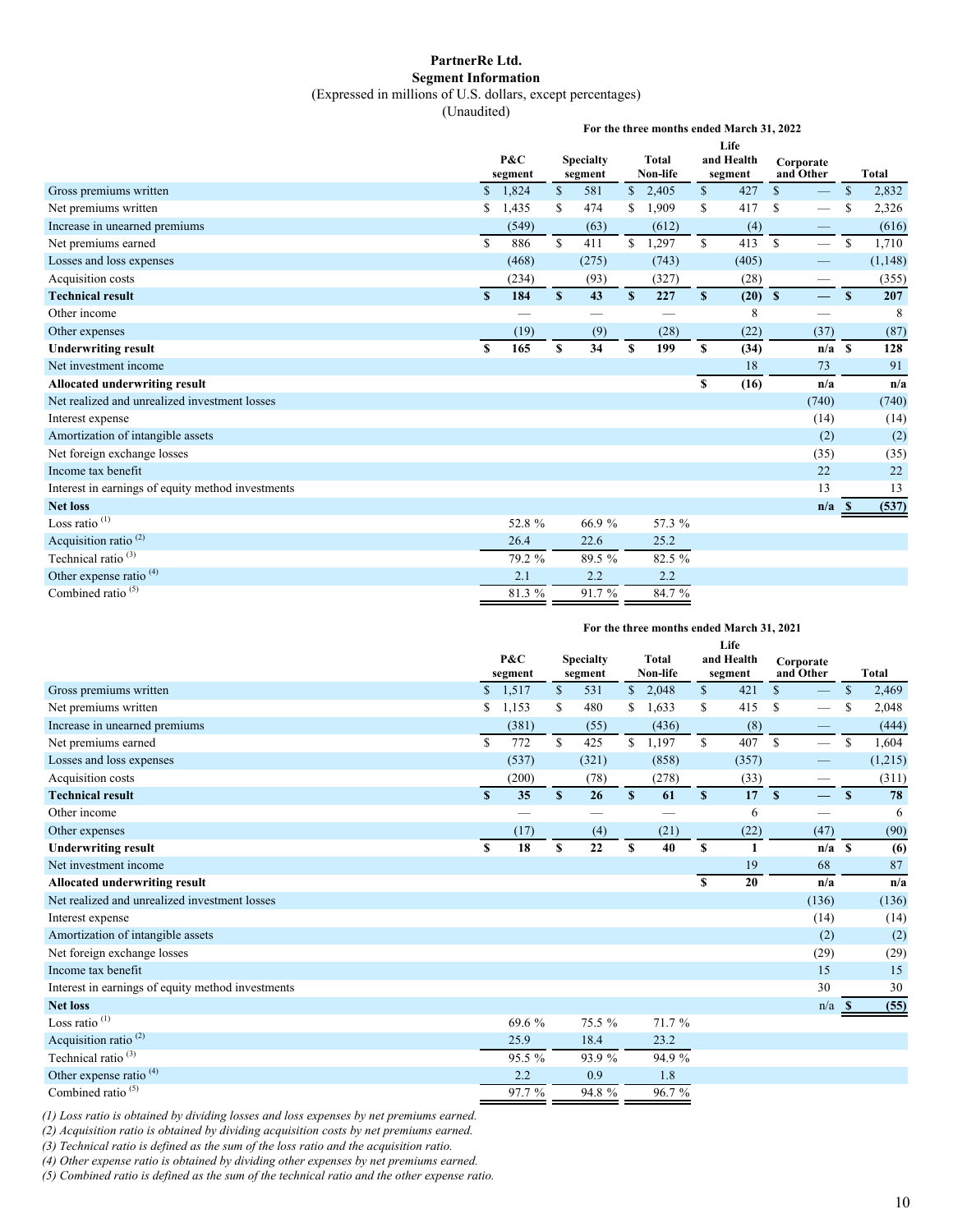#### **PartnerRe Ltd. Segment Information**

(Expressed in millions of U.S. dollars, except percentages)

(Unaudited)

**For the three months ended March 31, 2022**

|                                                   |               | P&C     |              | <b>Specialty</b>  |              | Total             |              | Life<br>and Health |              | Corporate                |               |              |
|---------------------------------------------------|---------------|---------|--------------|-------------------|--------------|-------------------|--------------|--------------------|--------------|--------------------------|---------------|--------------|
|                                                   |               | segment |              | segment           |              | Non-life          |              | segment            |              | and Other                |               | <b>Total</b> |
| Gross premiums written                            |               | \$1,824 | $\mathbb{S}$ | 581               |              | \$2,405           | \$           | 427                | $\mathbb{S}$ |                          | \$            | 2,832        |
| Net premiums written                              | \$            | 1,435   | S            | 474               | S.           | 1,909             | \$           | 417                | S            |                          | S             | 2,326        |
| Increase in unearned premiums                     |               | (549)   |              | (63)              |              | (612)             |              | (4)                |              | -                        |               | (616)        |
| Net premiums earned                               | S             | 886     | $\mathbf S$  | 411               | S            | 1,297             | $\mathbb{S}$ | 413                | $\mathbb{S}$ | $\qquad \qquad$          | <sup>\$</sup> | 1,710        |
| Losses and loss expenses                          |               | (468)   |              | (275)             |              | (743)             |              | (405)              |              |                          |               | (1, 148)     |
| Acquisition costs                                 |               | (234)   |              | (93)              |              | (327)             |              | (28)               |              | $\overline{\phantom{0}}$ |               | (355)        |
| <b>Technical result</b>                           | <sup>\$</sup> | 184     | S            | 43                | <sup>S</sup> | 227               | S            | $(20)$ \$          |              |                          | $\mathbf{s}$  | 207          |
| Other income                                      |               |         |              | $\hspace{0.05cm}$ |              | $\hspace{0.05cm}$ |              | 8                  |              |                          |               | 8            |
| Other expenses                                    |               | (19)    |              | (9)               |              | (28)              |              | (22)               |              | (37)                     |               | (87)         |
| <b>Underwriting result</b>                        | \$            | 165     | \$           | 34                | \$           | 199               | \$           | (34)               |              | $n/a$ \$                 |               | 128          |
| Net investment income                             |               |         |              |                   |              |                   |              | 18                 |              | 73                       |               | 91           |
| Allocated underwriting result                     |               |         |              |                   |              |                   | S            | (16)               |              | n/a                      |               | n/a          |
| Net realized and unrealized investment losses     |               |         |              |                   |              |                   |              |                    |              | (740)                    |               | (740)        |
| Interest expense                                  |               |         |              |                   |              |                   |              |                    |              | (14)                     |               | (14)         |
| Amortization of intangible assets                 |               |         |              |                   |              |                   |              |                    |              | (2)                      |               | (2)          |
| Net foreign exchange losses                       |               |         |              |                   |              |                   |              |                    |              | (35)                     |               | (35)         |
| Income tax benefit                                |               |         |              |                   |              |                   |              |                    |              | 22                       |               | 22           |
| Interest in earnings of equity method investments |               |         |              |                   |              |                   |              |                    |              | 13                       |               | 13           |
| <b>Net loss</b>                                   |               |         |              |                   |              |                   |              |                    |              | n/a                      | -8            | (537)        |
| Loss ratio $(1)$                                  |               | 52.8 %  |              | 66.9 %            |              | 57.3 %            |              |                    |              |                          |               |              |
| Acquisition ratio <sup>(2)</sup>                  |               | 26.4    |              | 22.6              |              | 25.2              |              |                    |              |                          |               |              |
| Technical ratio <sup>(3)</sup>                    |               | 79.2 %  |              | 89.5 %            |              | 82.5 %            |              |                    |              |                          |               |              |
| Other expense ratio <sup>(4)</sup>                |               | 2.1     |              | 2.2               |              | 2.2               |              |                    |              |                          |               |              |
| Combined ratio <sup><math>(5)</math></sup>        |               | 81.3 %  |              | 91.7 %            |              | 84.7 %            |              |                    |              |                          |               |              |

#### **For the three months ended March 31, 2021**

|                                                   |              |         |              |                  |              |          |              | Life       |               |                          |               |              |
|---------------------------------------------------|--------------|---------|--------------|------------------|--------------|----------|--------------|------------|---------------|--------------------------|---------------|--------------|
|                                                   |              | P&C     |              | <b>Specialty</b> |              | Total    |              | and Health | Corporate     |                          |               |              |
|                                                   |              | segment |              | segment          |              | Non-life |              | segment    | and Other     |                          |               | <b>Total</b> |
| Gross premiums written                            | $\mathbb{S}$ | 1,517   | \$           | 531              |              | \$2,048  | \$           | 421        | $\mathcal{S}$ |                          | $\mathbb{S}$  | 2,469        |
| Net premiums written                              | S            | 1,153   | S            | 480              | S            | 1,633    | \$           | 415        | <sup>\$</sup> | $\overline{\phantom{0}}$ | S             | 2,048        |
| Increase in unearned premiums                     |              | (381)   |              | (55)             |              | (436)    |              | (8)        |               | —                        |               | (444)        |
| Net premiums earned                               | $\mathbf S$  | 772     | $\mathbb{S}$ | 425              | $\mathbf S$  | 1,197    | $\mathbb{S}$ | 407        | $\mathbb{S}$  |                          | <sup>\$</sup> | 1,604        |
| Losses and loss expenses                          |              | (537)   |              | (321)            |              | (858)    |              | (357)      |               |                          |               | (1,215)      |
| Acquisition costs                                 |              | (200)   |              | (78)             |              | (278)    |              | (33)       |               |                          |               | (311)        |
| <b>Technical result</b>                           | $\mathbf{s}$ | 35      | $\mathbf{s}$ | 26               | $\mathbf{s}$ | 61       | $\mathbf{s}$ | 17         | $\mathbf{s}$  | $\overline{\phantom{0}}$ | $\mathbf{s}$  | 78           |
| Other income                                      |              |         |              |                  |              |          |              | 6          |               | —                        |               | 6            |
| Other expenses                                    |              | (17)    |              | (4)              |              | (21)     |              | (22)       |               | (47)                     |               | (90)         |
| <b>Underwriting result</b>                        | \$           | 18      | \$           | 22               | \$           | 40       | \$           | 1          |               | $n/a$ \$                 |               | (6)          |
| Net investment income                             |              |         |              |                  |              |          |              | 19         |               | 68                       |               | 87           |
| Allocated underwriting result                     |              |         |              |                  |              |          | \$           | 20         |               | n/a                      |               | n/a          |
| Net realized and unrealized investment losses     |              |         |              |                  |              |          |              |            |               | (136)                    |               | (136)        |
| Interest expense                                  |              |         |              |                  |              |          |              |            |               | (14)                     |               | (14)         |
| Amortization of intangible assets                 |              |         |              |                  |              |          |              |            |               | (2)                      |               | (2)          |
| Net foreign exchange losses                       |              |         |              |                  |              |          |              |            |               | (29)                     |               | (29)         |
| Income tax benefit                                |              |         |              |                  |              |          |              |            |               | 15                       |               | 15           |
| Interest in earnings of equity method investments |              |         |              |                  |              |          |              |            |               | 30                       |               | 30           |
| <b>Net loss</b>                                   |              |         |              |                  |              |          |              |            |               | n/a                      | - S           | (55)         |
| Loss ratio $(1)$                                  |              | 69.6 %  |              | 75.5 %           |              | 71.7%    |              |            |               |                          |               |              |
| Acquisition ratio <sup>(2)</sup>                  |              | 25.9    |              | 18.4             |              | 23.2     |              |            |               |                          |               |              |
| Technical ratio <sup>(3)</sup>                    |              | 95.5 %  |              | 93.9%            |              | 94.9 %   |              |            |               |                          |               |              |
| Other expense ratio <sup>(4)</sup>                |              | 2.2     |              | 0.9              |              | 1.8      |              |            |               |                          |               |              |
| Combined ratio <sup>(5)</sup>                     |              | 97.7 %  |              | 94.8 %           |              | 96.7%    |              |            |               |                          |               |              |

*(1) Loss ratio is obtained by dividing losses and loss expenses by net premiums earned.*

*(2) Acquisition ratio is obtained by dividing acquisition costs by net premiums earned.*

*(3) Technical ratio is defined as the sum of the loss ratio and the acquisition ratio.*

*(4) Other expense ratio is obtained by dividing other expenses by net premiums earned.*

*(5) Combined ratio is defined as the sum of the technical ratio and the other expense ratio.*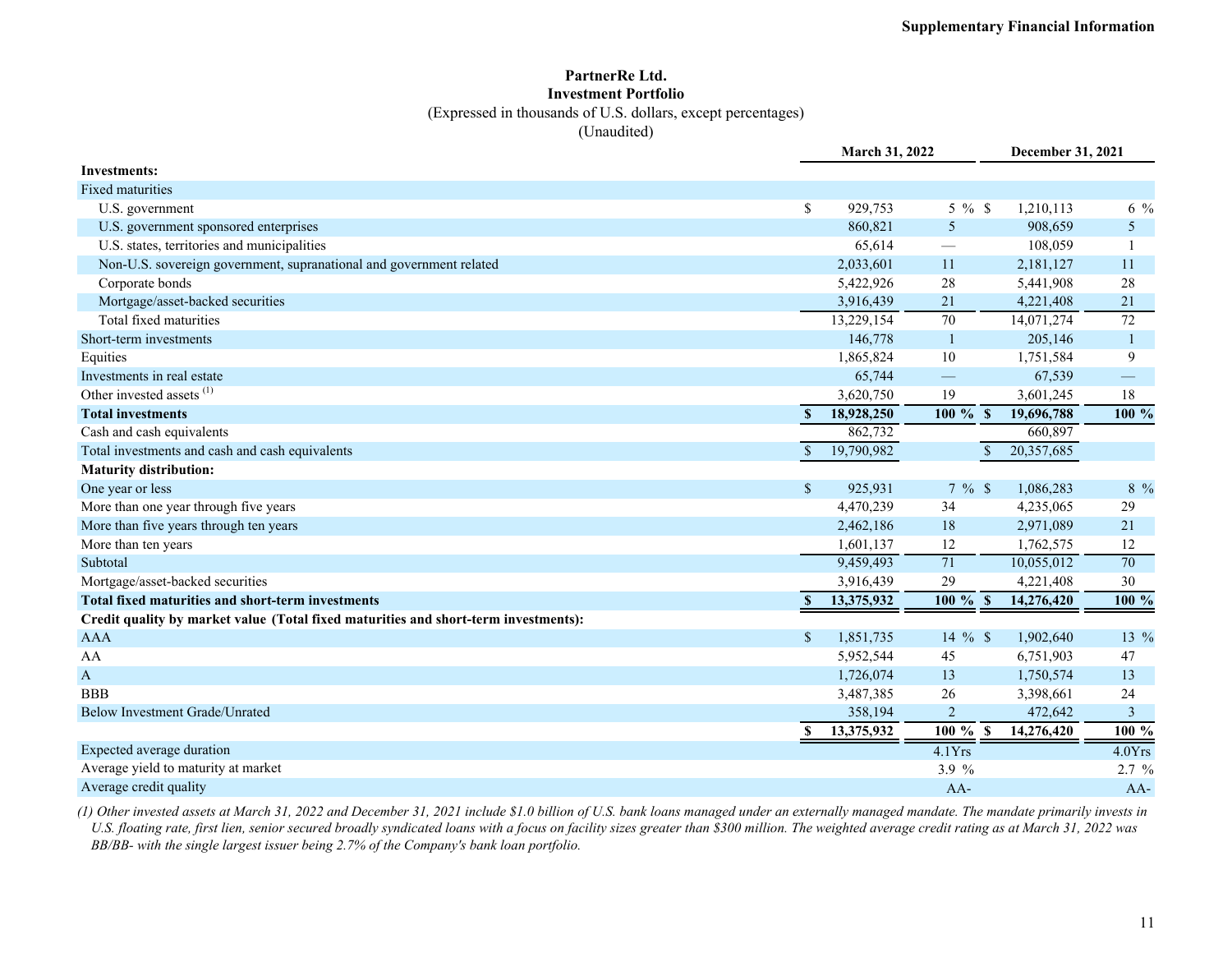#### **PartnerRe Ltd. Investment Portfolio**

(Expressed in thousands of U.S. dollars, except percentages)

(Unaudited)

|                                                                                     |              | March 31, 2022 |                | December 31, 2021 |                 |  |  |  |
|-------------------------------------------------------------------------------------|--------------|----------------|----------------|-------------------|-----------------|--|--|--|
| <b>Investments:</b>                                                                 |              |                |                |                   |                 |  |  |  |
| <b>Fixed maturities</b>                                                             |              |                |                |                   |                 |  |  |  |
| U.S. government                                                                     | \$           | 929,753        | $5\%$ \$       | 1,210,113         | $6\frac{9}{6}$  |  |  |  |
| U.S. government sponsored enterprises                                               |              | 860,821        | 5              | 908,659           | 5               |  |  |  |
| U.S. states, territories and municipalities                                         |              | 65,614         |                | 108,059           |                 |  |  |  |
| Non-U.S. sovereign government, supranational and government related                 |              | 2,033,601      | 11             | 2,181,127         | 11              |  |  |  |
| Corporate bonds                                                                     |              | 5,422,926      | 28             | 5,441,908         | $28\,$          |  |  |  |
| Mortgage/asset-backed securities                                                    |              | 3,916,439      | 21             | 4,221,408         | 21              |  |  |  |
| Total fixed maturities                                                              |              | 13,229,154     | 70             | 14,071,274        | $\overline{72}$ |  |  |  |
| Short-term investments                                                              |              | 146,778        | $\overline{1}$ | 205,146           | $\mathbf{1}$    |  |  |  |
| Equities                                                                            |              | 1,865,824      | 10             | 1,751,584         | 9               |  |  |  |
| Investments in real estate                                                          |              | 65,744         |                | 67,539            |                 |  |  |  |
| Other invested assets <sup>(1)</sup>                                                |              | 3,620,750      | 19             | 3,601,245         | 18              |  |  |  |
| <b>Total investments</b>                                                            | $\mathbf{s}$ | 18,928,250     | $100\,$ % \$   | 19,696,788        | 100 %           |  |  |  |
| Cash and cash equivalents                                                           |              | 862,732        |                | 660,897           |                 |  |  |  |
| Total investments and cash and cash equivalents                                     | <sup>S</sup> | 19,790,982     | $\mathbb{S}$   | 20,357,685        |                 |  |  |  |
| <b>Maturity distribution:</b>                                                       |              |                |                |                   |                 |  |  |  |
| One year or less                                                                    | $\mathbf{s}$ | 925,931        | 7%             | 1,086,283         | 8 %             |  |  |  |
| More than one year through five years                                               |              | 4,470,239      | 34             | 4,235,065         | 29              |  |  |  |
| More than five years through ten years                                              |              | 2,462,186      | 18             | 2,971,089         | 21              |  |  |  |
| More than ten years                                                                 |              | 1,601,137      | 12             | 1,762,575         | 12              |  |  |  |
| Subtotal                                                                            |              | 9,459,493      | 71             | 10,055,012        | $\overline{70}$ |  |  |  |
| Mortgage/asset-backed securities                                                    |              | 3,916,439      | 29             | 4,221,408         | 30              |  |  |  |
| Total fixed maturities and short-term investments                                   | $\mathbf{s}$ | 13,375,932     | $100 \%$ \$    | 14,276,420        | 100 %           |  |  |  |
| Credit quality by market value (Total fixed maturities and short-term investments): |              |                |                |                   |                 |  |  |  |
| <b>AAA</b>                                                                          | $\mathbf S$  | 1,851,735      | 14 $%$ \$      | 1,902,640         | 13 %            |  |  |  |
| AA                                                                                  |              | 5,952,544      | 45             | 6,751,903         | 47              |  |  |  |
| $\mathbf{A}$                                                                        |              | 1,726,074      | 13             | 1,750,574         | 13              |  |  |  |
| <b>BBB</b>                                                                          |              | 3,487,385      | 26             | 3,398,661         | 24              |  |  |  |
| <b>Below Investment Grade/Unrated</b>                                               |              | 358,194        | $\overline{2}$ | 472,642           | 3               |  |  |  |
|                                                                                     | $\mathbf{s}$ | 13,375,932     | $100\%$ \$     | 14,276,420        | 100 %           |  |  |  |
| Expected average duration                                                           |              |                | 4.1Yrs         |                   | 4.0Yrs          |  |  |  |
| Average yield to maturity at market                                                 |              |                | 3.9%           |                   | $2.7 \%$        |  |  |  |
| Average credit quality                                                              |              |                | $AA-$          |                   | AA-             |  |  |  |

*(1) Other invested assets at March 31, 2022 and December 31, 2021 include \$1.0 billion of U.S. bank loans managed under an externally managed mandate. The mandate primarily invests in U.S. floating rate, first lien, senior secured broadly syndicated loans with a focus on facility sizes greater than \$300 million. The weighted average credit rating as at March 31, 2022 was BB/BB- with the single largest issuer being 2.7% of the Company's bank loan portfolio.*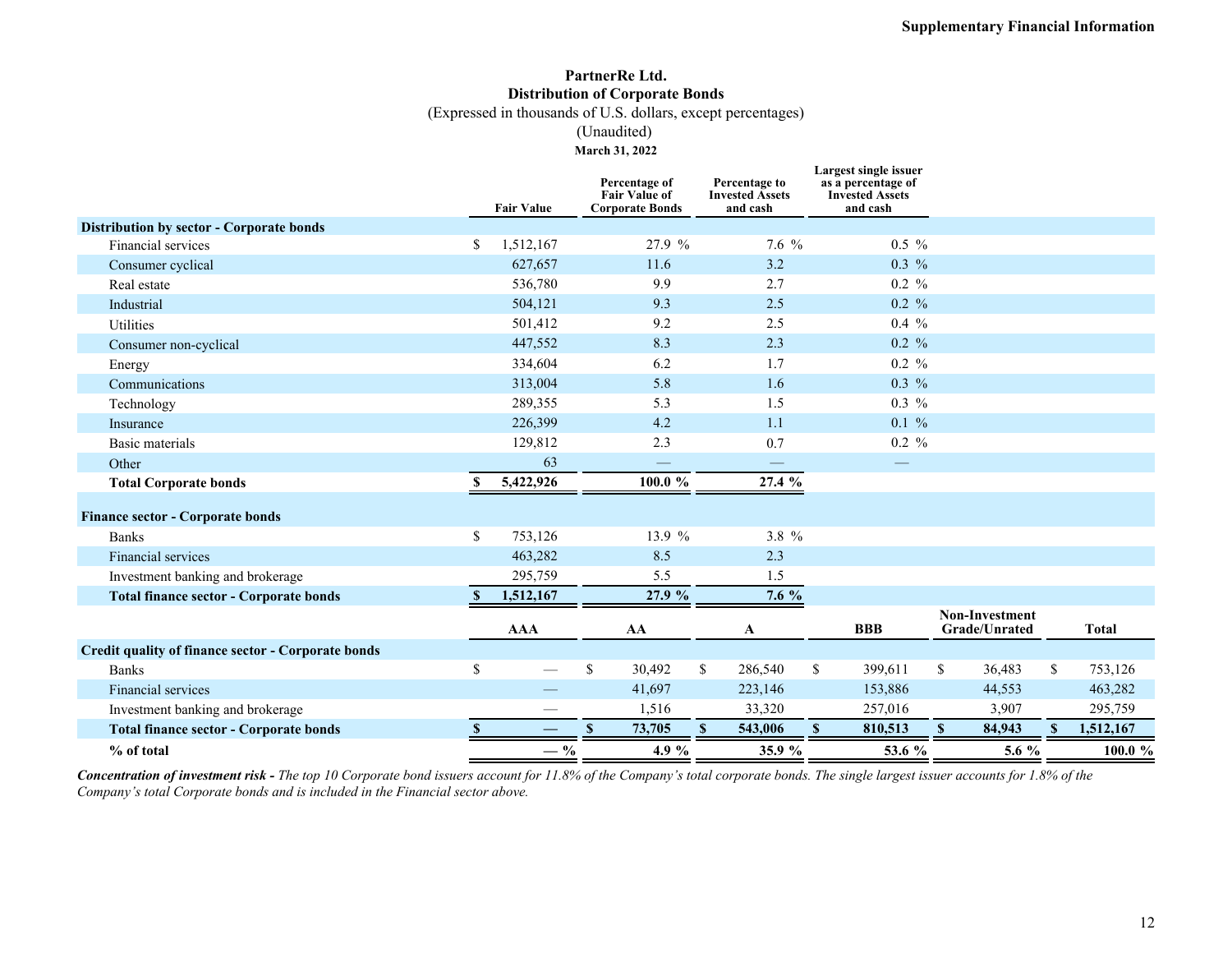# **PartnerRe Ltd. Distribution of Corporate Bonds**

(Expressed in thousands of U.S. dollars, except percentages)

(Unaudited)

**March 31, 2022**

|                                                           |              | <b>Fair Value</b> | Percentage of<br><b>Fair Value of</b><br><b>Corporate Bonds</b> | Percentage to<br><b>Invested Assets</b><br>and cash |       | <b>Largest single issuer</b><br>as a percentage of<br><b>Invested Assets</b><br>and cash |                                               |               |
|-----------------------------------------------------------|--------------|-------------------|-----------------------------------------------------------------|-----------------------------------------------------|-------|------------------------------------------------------------------------------------------|-----------------------------------------------|---------------|
| Distribution by sector - Corporate bonds                  |              |                   |                                                                 |                                                     |       |                                                                                          |                                               |               |
| Financial services                                        | \$           | 1,512,167         | 27.9 %                                                          |                                                     | 7.6 % | $0.5\%$                                                                                  |                                               |               |
| Consumer cyclical                                         |              | 627,657           | 11.6                                                            | 3.2                                                 |       | $0.3\%$                                                                                  |                                               |               |
| Real estate                                               |              | 536,780           | 9.9                                                             | 2.7                                                 |       | $0.2 \%$                                                                                 |                                               |               |
| Industrial                                                |              | 504,121           | 9.3                                                             | 2.5                                                 |       | $0.2 \%$                                                                                 |                                               |               |
| Utilities                                                 |              | 501,412           | 9.2                                                             | 2.5                                                 |       | $0.4\%$                                                                                  |                                               |               |
| Consumer non-cyclical                                     |              | 447,552           | 8.3                                                             | 2.3                                                 |       | $0.2 \%$                                                                                 |                                               |               |
| Energy                                                    |              | 334,604           | 6.2                                                             | 1.7                                                 |       | $0.2 \%$                                                                                 |                                               |               |
| Communications                                            |              | 313,004           | 5.8                                                             | 1.6                                                 |       | $0.3\%$                                                                                  |                                               |               |
| Technology                                                |              | 289,355           | 5.3                                                             | 1.5                                                 |       | $0.3\%$                                                                                  |                                               |               |
| Insurance                                                 |              | 226,399           | 4.2                                                             | 1.1                                                 |       | $0.1 \%$                                                                                 |                                               |               |
| Basic materials                                           |              | 129,812           | 2.3                                                             | 0.7                                                 |       | $0.2 \%$                                                                                 |                                               |               |
| Other                                                     |              | 63                |                                                                 | $\overline{\phantom{0}}$                            |       |                                                                                          |                                               |               |
| <b>Total Corporate bonds</b>                              |              | 5,422,926         | $100.0 \%$                                                      | 27.4 %                                              |       |                                                                                          |                                               |               |
| <b>Finance sector - Corporate bonds</b>                   |              |                   |                                                                 |                                                     |       |                                                                                          |                                               |               |
| <b>Banks</b>                                              | \$           | 753,126           | 13.9 %                                                          |                                                     | 3.8 % |                                                                                          |                                               |               |
| Financial services                                        |              | 463,282           | 8.5                                                             | 2.3                                                 |       |                                                                                          |                                               |               |
| Investment banking and brokerage                          |              | 295,759           | 5.5                                                             | 1.5                                                 |       |                                                                                          |                                               |               |
| <b>Total finance sector - Corporate bonds</b>             | -S           | 1,512,167         | 27.9 %                                                          | 7.6 %                                               |       |                                                                                          |                                               |               |
|                                                           |              | <b>AAA</b>        | AA                                                              | A                                                   |       | <b>BBB</b>                                                                               | <b>Non-Investment</b><br><b>Grade/Unrated</b> | <b>Total</b>  |
| <b>Credit quality of finance sector - Corporate bonds</b> |              |                   |                                                                 |                                                     |       |                                                                                          |                                               |               |
| <b>Banks</b>                                              | \$           |                   | \$<br>30,492                                                    | \$<br>286,540                                       |       | \$<br>399,611                                                                            | \$<br>36,483                                  | \$<br>753,126 |
| Financial services                                        |              |                   | 41,697                                                          | 223,146                                             |       | 153,886                                                                                  | 44,553                                        | 463,282       |
| Investment banking and brokerage                          |              |                   | 1,516                                                           | 33,320                                              |       | 257,016                                                                                  | 3,907                                         | 295,759       |
| <b>Total finance sector - Corporate bonds</b>             | $\mathbf{s}$ |                   | 73,705<br>$\mathbf{s}$                                          | S<br>543,006                                        |       | 810,513<br>S                                                                             | 84,943<br>$\mathbf{s}$                        | 1,512,167     |
| % of total                                                |              | $-$ %             | 4.9 %                                                           | 35.9 %                                              |       | 53.6 %                                                                                   | 5.6 $%$                                       | 100.0 %       |

*Concentration of investment risk - The top 10 Corporate bond issuers account for 11.8% of the Company's total corporate bonds. The single largest issuer accounts for 1.8% of the Company's total Corporate bonds and is included in the Financial sector above.*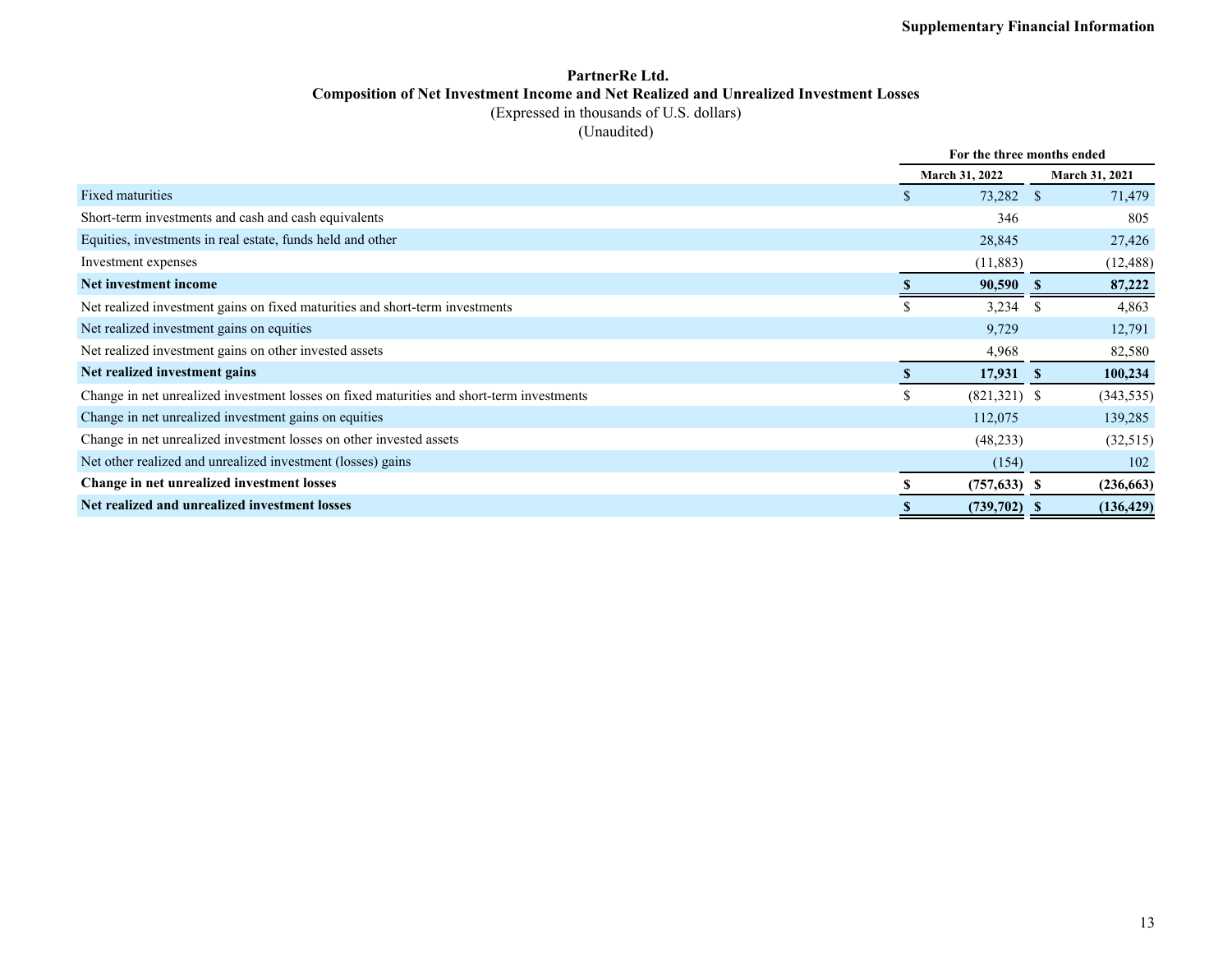### **PartnerRe Ltd. Composition of Net Investment Income and Net Realized and Unrealized Investment Losses** (Expressed in thousands of U.S. dollars)

(Unaudited)

|                                                                                           |          | For the three months ended |      |                       |  |  |
|-------------------------------------------------------------------------------------------|----------|----------------------------|------|-----------------------|--|--|
|                                                                                           |          | March 31, 2022             |      | <b>March 31, 2021</b> |  |  |
| Fixed maturities                                                                          | S.       | 73,282 \$                  |      | 71,479                |  |  |
| Short-term investments and cash and cash equivalents                                      |          | 346                        |      | 805                   |  |  |
| Equities, investments in real estate, funds held and other                                |          | 28,845                     |      | 27,426                |  |  |
| Investment expenses                                                                       |          | (11,883)                   |      | (12, 488)             |  |  |
| Net investment income                                                                     |          | 90,590                     | - 56 | 87,222                |  |  |
| Net realized investment gains on fixed maturities and short-term investments              | S        | 3,234                      | -S   | 4,863                 |  |  |
| Net realized investment gains on equities                                                 |          | 9,729                      |      | 12,791                |  |  |
| Net realized investment gains on other invested assets                                    |          | 4,968                      |      | 82,580                |  |  |
| Net realized investment gains                                                             | <b>S</b> | $17,931$ \$                |      | 100,234               |  |  |
| Change in net unrealized investment losses on fixed maturities and short-term investments | \$       | $(821,321)$ \$             |      | (343, 535)            |  |  |
| Change in net unrealized investment gains on equities                                     |          | 112,075                    |      | 139,285               |  |  |
| Change in net unrealized investment losses on other invested assets                       |          | (48,233)                   |      | (32,515)              |  |  |
| Net other realized and unrealized investment (losses) gains                               |          | (154)                      |      | 102                   |  |  |
| Change in net unrealized investment losses                                                |          | $(757, 633)$ \$            |      | (236, 663)            |  |  |
| Net realized and unrealized investment losses                                             | S        | $(739,702)$ \$             |      | (136, 429)            |  |  |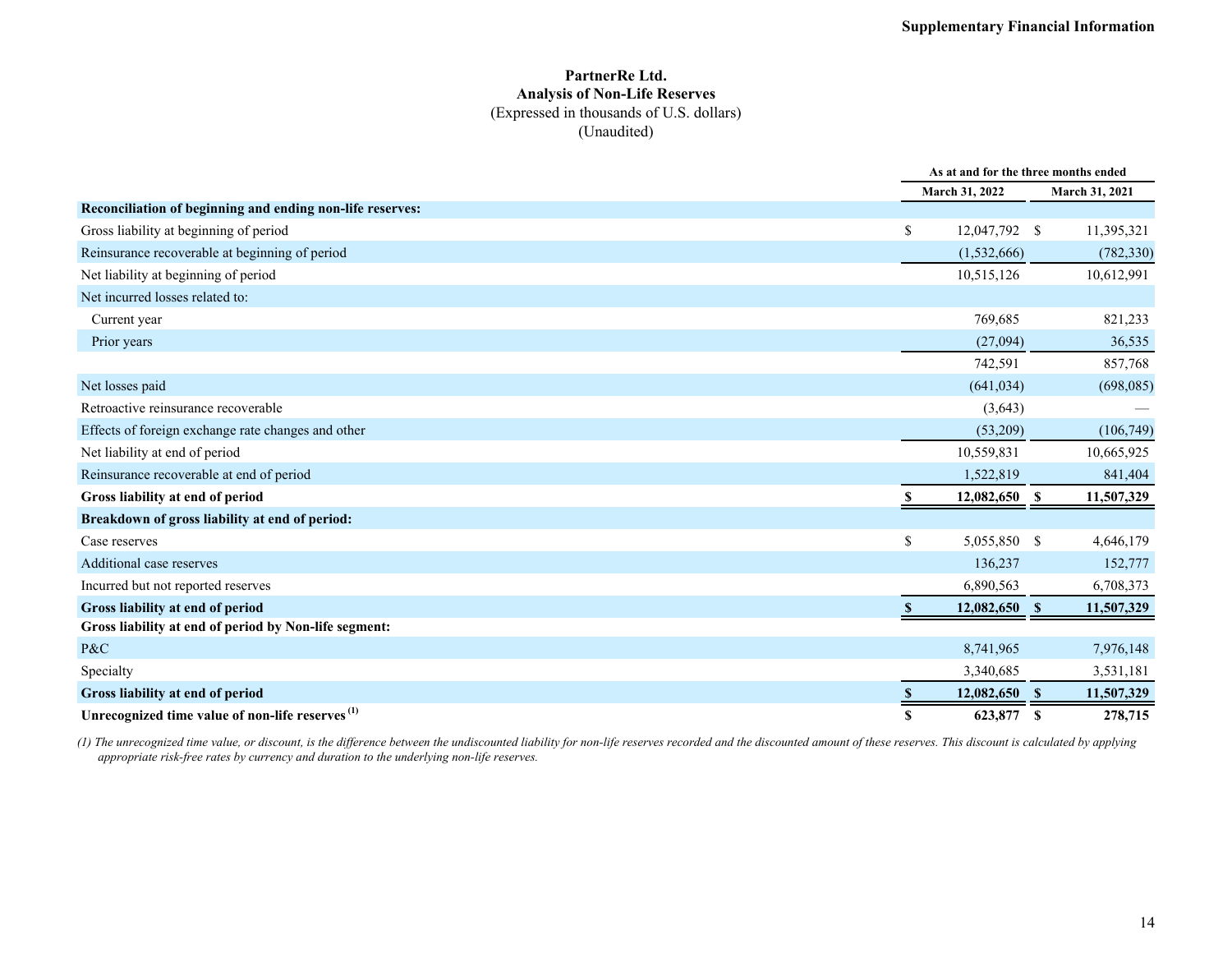### **PartnerRe Ltd. Analysis of Non-Life Reserves** (Expressed in thousands of U.S. dollars) (Unaudited)

|                                                             |                 | As at and for the three months ended |                    |  |  |  |
|-------------------------------------------------------------|-----------------|--------------------------------------|--------------------|--|--|--|
|                                                             | March 31, 2022  |                                      | March 31, 2021     |  |  |  |
| Reconciliation of beginning and ending non-life reserves:   |                 |                                      |                    |  |  |  |
| Gross liability at beginning of period                      | \$              | 12,047,792 \$                        | 11,395,321         |  |  |  |
| Reinsurance recoverable at beginning of period              | (1,532,666)     |                                      | (782, 330)         |  |  |  |
| Net liability at beginning of period                        | 10,515,126      |                                      | 10,612,991         |  |  |  |
| Net incurred losses related to:                             |                 |                                      |                    |  |  |  |
| Current year                                                |                 | 769,685                              | 821,233            |  |  |  |
| Prior years                                                 |                 | (27,094)                             | 36,535             |  |  |  |
|                                                             |                 | 742,591                              | 857,768            |  |  |  |
| Net losses paid                                             |                 | (641, 034)                           | (698, 085)         |  |  |  |
| Retroactive reinsurance recoverable                         |                 | (3,643)                              |                    |  |  |  |
| Effects of foreign exchange rate changes and other          |                 | (53,209)                             | (106, 749)         |  |  |  |
| Net liability at end of period                              | 10,559,831      |                                      | 10,665,925         |  |  |  |
| Reinsurance recoverable at end of period                    | 1,522,819       |                                      | 841,404            |  |  |  |
| Gross liability at end of period                            | 12,082,650<br>S |                                      | - \$<br>11,507,329 |  |  |  |
| Breakdown of gross liability at end of period:              |                 |                                      |                    |  |  |  |
| Case reserves                                               | \$              | 5,055,850 \$                         | 4,646,179          |  |  |  |
| Additional case reserves                                    |                 | 136,237                              | 152,777            |  |  |  |
| Incurred but not reported reserves                          | 6,890,563       |                                      | 6,708,373          |  |  |  |
| Gross liability at end of period                            |                 | 12,082,650 \$                        | 11,507,329         |  |  |  |
| Gross liability at end of period by Non-life segment:       |                 |                                      |                    |  |  |  |
| P&C                                                         | 8,741,965       |                                      | 7,976,148          |  |  |  |
| Specialty                                                   | 3,340,685       |                                      | 3,531,181          |  |  |  |
| Gross liability at end of period                            |                 | 12,082,650 \$                        | 11,507,329         |  |  |  |
| Unrecognized time value of non-life reserves <sup>(1)</sup> | S               | 623,877                              | 278,715<br>-S      |  |  |  |

*(1) The unrecognized time value, or discount, is the difference between the undiscounted liability for non-life reserves recorded and the discounted amount of these reserves. This discount is calculated by applying appropriate risk-free rates by currency and duration to the underlying non-life reserves.*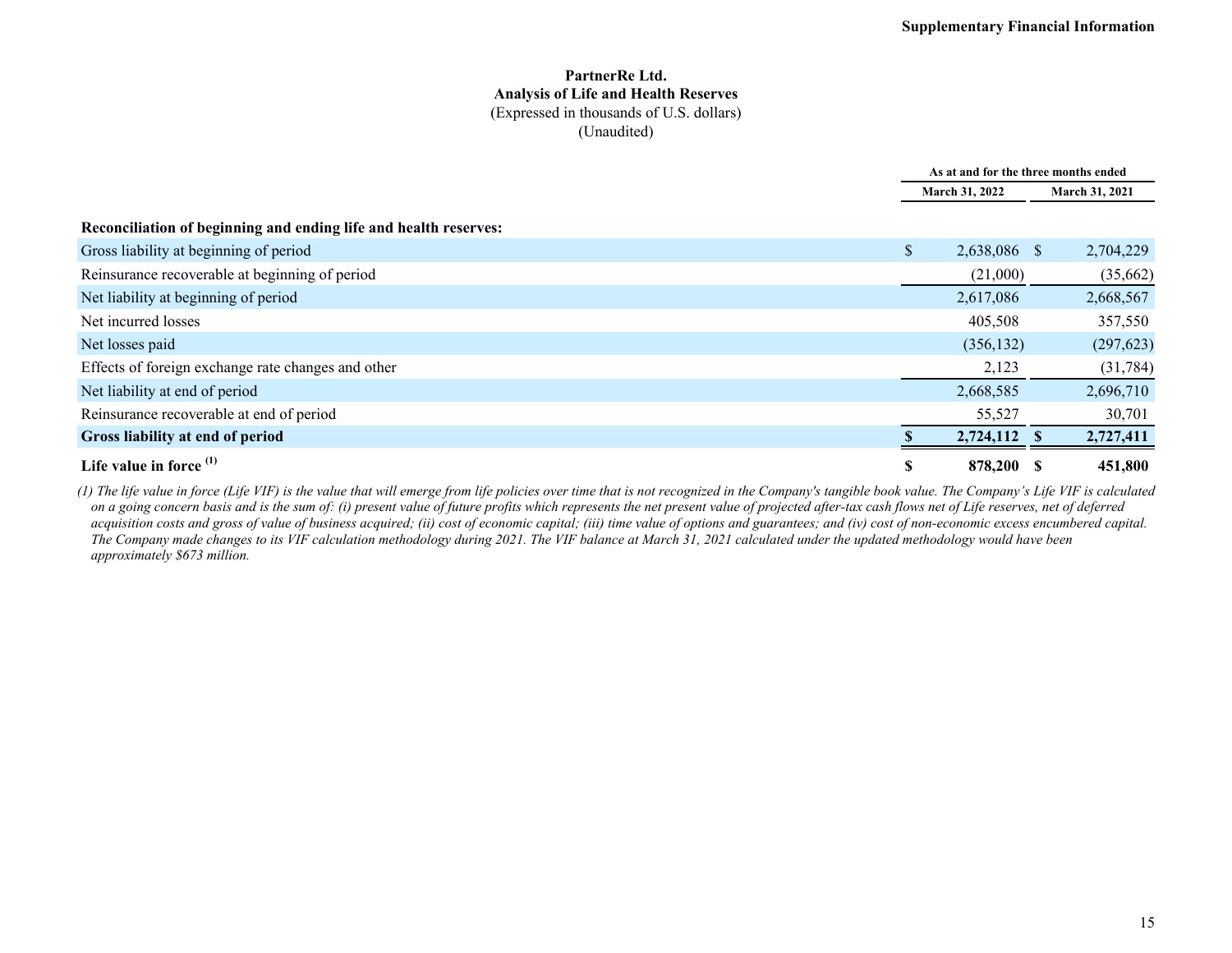#### **PartnerRe Ltd. Analysis of Life and Health Reserves** (Expressed in thousands of U.S. dollars) (Unaudited)

|                                                                  | As at and for the three months ended |  |                |
|------------------------------------------------------------------|--------------------------------------|--|----------------|
|                                                                  | March 31, 2022                       |  | March 31, 2021 |
| Reconciliation of beginning and ending life and health reserves: |                                      |  |                |
| Gross liability at beginning of period                           | \$<br>2,638,086 \$                   |  | 2,704,229      |
| Reinsurance recoverable at beginning of period                   | (21,000)                             |  | (35,662)       |
| Net liability at beginning of period                             | 2,617,086                            |  | 2,668,567      |
| Net incurred losses                                              | 405,508                              |  | 357,550        |
| Net losses paid                                                  | (356, 132)                           |  | (297, 623)     |
| Effects of foreign exchange rate changes and other               | 2,123                                |  | (31, 784)      |
| Net liability at end of period                                   | 2,668,585                            |  | 2,696,710      |
| Reinsurance recoverable at end of period                         | 55,527                               |  | 30,701         |
| Gross liability at end of period                                 | 2,724,112 \$                         |  | 2,727,411      |
| Life value in force $(1)$                                        | \$<br>878,200 \$                     |  | 451,800        |

*(1) The life value in force (Life VIF) is the value that will emerge from life policies over time that is not recognized in the Company's tangible book value. The Company's Life VIF is calculated on a going concern basis and is the sum of: (i) present value of future profits which represents the net present value of projected after-tax cash flows net of Life reserves, net of deferred*  acquisition costs and gross of value of business acquired; (ii) cost of economic capital; (iii) time value of options and guarantees; and (iv) cost of non-economic excess encumbered capital. *The Company made changes to its VIF calculation methodology during 2021. The VIF balance at March 31, 2021 calculated under the updated methodology would have been approximately \$673 million.*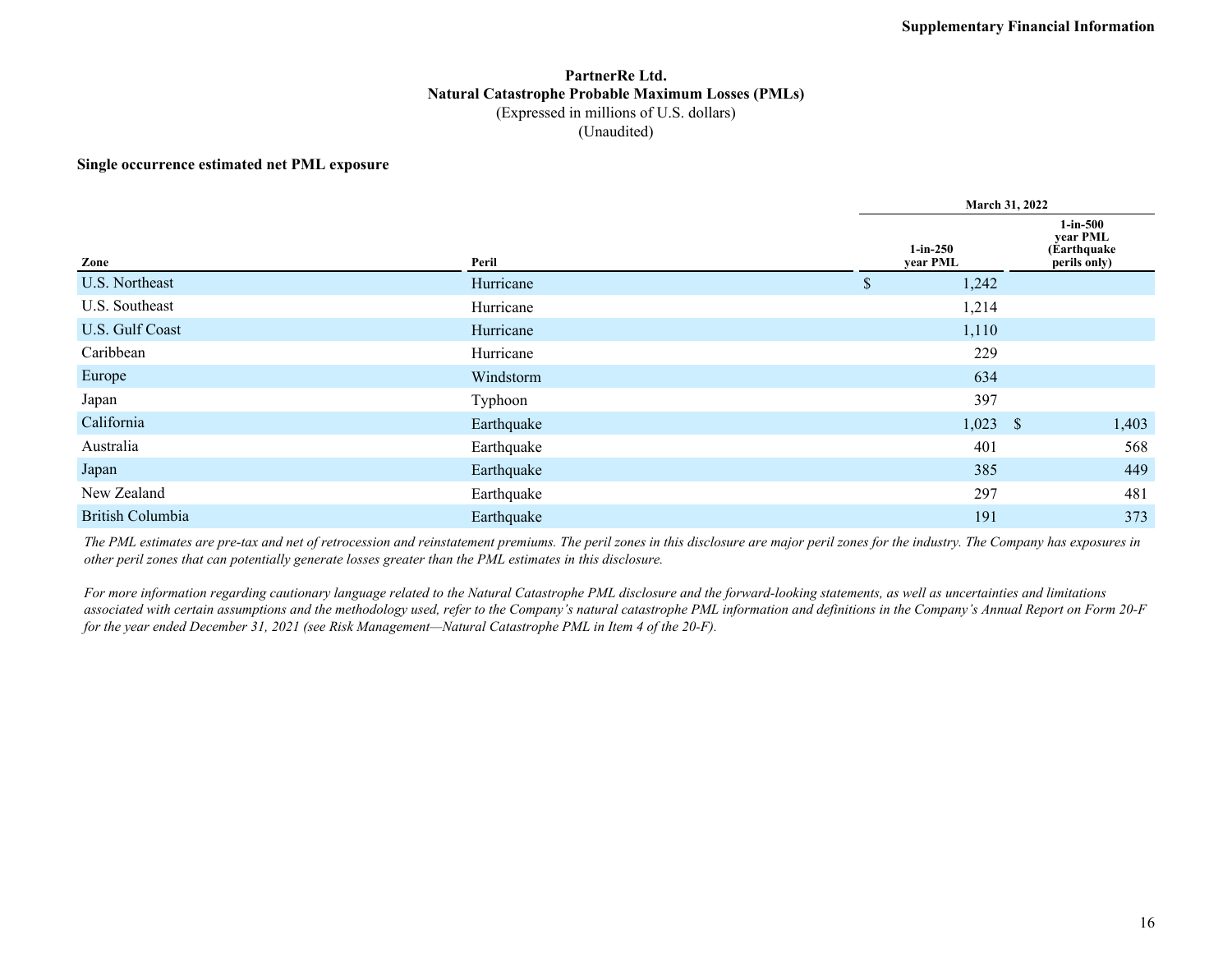### **PartnerRe Ltd. Natural Catastrophe Probable Maximum Losses (PMLs)** (Expressed in millions of U.S. dollars) (Unaudited)

#### **Single occurrence estimated net PML exposure**

|                         |            |                        | March 31, 2022 |                                                         |  |  |  |  |  |
|-------------------------|------------|------------------------|----------------|---------------------------------------------------------|--|--|--|--|--|
| Zone                    | Peril      | $1-in-250$<br>year PML |                | $1$ -in-500<br>year PML<br>(Earthquake)<br>perils only) |  |  |  |  |  |
| U.S. Northeast          | Hurricane  | \$<br>1,242            |                |                                                         |  |  |  |  |  |
| U.S. Southeast          | Hurricane  | 1,214                  |                |                                                         |  |  |  |  |  |
| U.S. Gulf Coast         | Hurricane  | 1,110                  |                |                                                         |  |  |  |  |  |
| Caribbean               | Hurricane  | 229                    |                |                                                         |  |  |  |  |  |
| Europe                  | Windstorm  | 634                    |                |                                                         |  |  |  |  |  |
| Japan                   | Typhoon    | 397                    |                |                                                         |  |  |  |  |  |
| California              | Earthquake |                        | $1,023$ \$     | 1,403                                                   |  |  |  |  |  |
| Australia               | Earthquake | 401                    |                | 568                                                     |  |  |  |  |  |
| Japan                   | Earthquake | 385                    |                | 449                                                     |  |  |  |  |  |
| New Zealand             | Earthquake | 297                    |                | 481                                                     |  |  |  |  |  |
| <b>British Columbia</b> | Earthquake | 191                    |                | 373                                                     |  |  |  |  |  |

*The PML estimates are pre-tax and net of retrocession and reinstatement premiums. The peril zones in this disclosure are major peril zones for the industry. The Company has exposures in other peril zones that can potentially generate losses greater than the PML estimates in this disclosure.*

*For more information regarding cautionary language related to the Natural Catastrophe PML disclosure and the forward-looking statements, as well as uncertainties and limitations*  associated with certain assumptions and the methodology used, refer to the Company's natural catastrophe PML information and definitions in the Company's Annual Report on Form 20-F *for the year ended December 31, 2021 (see Risk Management—Natural Catastrophe PML in Item 4 of the 20-F).*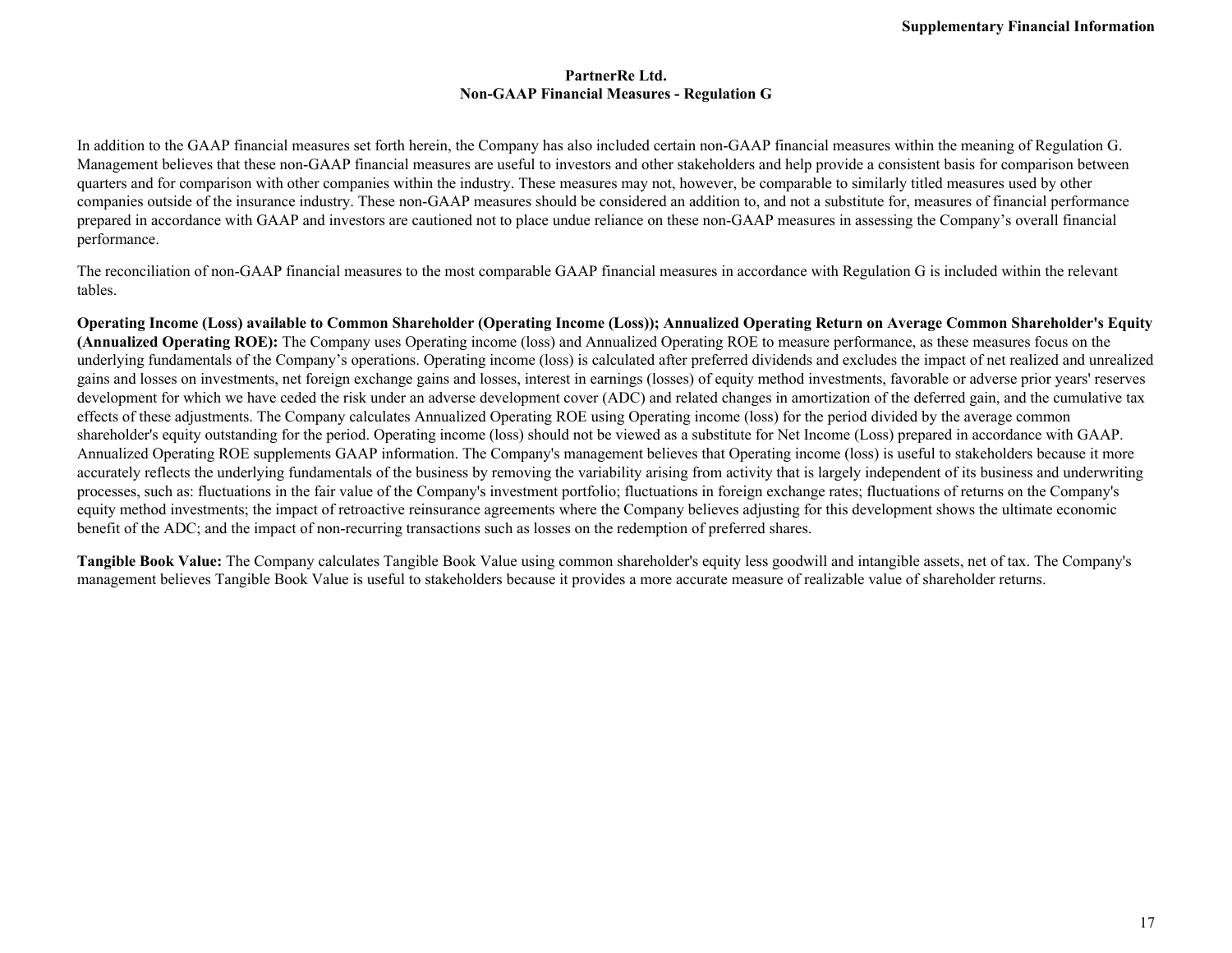#### **PartnerRe Ltd. Non-GAAP Financial Measures - Regulation G**

In addition to the GAAP financial measures set forth herein, the Company has also included certain non-GAAP financial measures within the meaning of Regulation G. Management believes that these non-GAAP financial measures are useful to investors and other stakeholders and help provide a consistent basis for comparison between quarters and for comparison with other companies within the industry. These measures may not, however, be comparable to similarly titled measures used by other companies outside of the insurance industry. These non-GAAP measures should be considered an addition to, and not a substitute for, measures of financial performance prepared in accordance with GAAP and investors are cautioned not to place undue reliance on these non-GAAP measures in assessing the Company's overall financial performance.

The reconciliation of non-GAAP financial measures to the most comparable GAAP financial measures in accordance with Regulation G is included within the relevant tables.

**Operating Income (Loss) available to Common Shareholder (Operating Income (Loss)); Annualized Operating Return on Average Common Shareholder's Equity (Annualized Operating ROE):** The Company uses Operating income (loss) and Annualized Operating ROE to measure performance, as these measures focus on the underlying fundamentals of the Company's operations. Operating income (loss) is calculated after preferred dividends and excludes the impact of net realized and unrealized gains and losses on investments, net foreign exchange gains and losses, interest in earnings (losses) of equity method investments, favorable or adverse prior years' reserves development for which we have ceded the risk under an adverse development cover (ADC) and related changes in amortization of the deferred gain, and the cumulative tax effects of these adjustments. The Company calculates Annualized Operating ROE using Operating income (loss) for the period divided by the average common shareholder's equity outstanding for the period. Operating income (loss) should not be viewed as a substitute for Net Income (Loss) prepared in accordance with GAAP. Annualized Operating ROE supplements GAAP information. The Company's management believes that Operating income (loss) is useful to stakeholders because it more accurately reflects the underlying fundamentals of the business by removing the variability arising from activity that is largely independent of its business and underwriting processes, such as: fluctuations in the fair value of the Company's investment portfolio; fluctuations in foreign exchange rates; fluctuations of returns on the Company's equity method investments; the impact of retroactive reinsurance agreements where the Company believes adjusting for this development shows the ultimate economic benefit of the ADC; and the impact of non-recurring transactions such as losses on the redemption of preferred shares.

**Tangible Book Value:** The Company calculates Tangible Book Value using common shareholder's equity less goodwill and intangible assets, net of tax. The Company's management believes Tangible Book Value is useful to stakeholders because it provides a more accurate measure of realizable value of shareholder returns.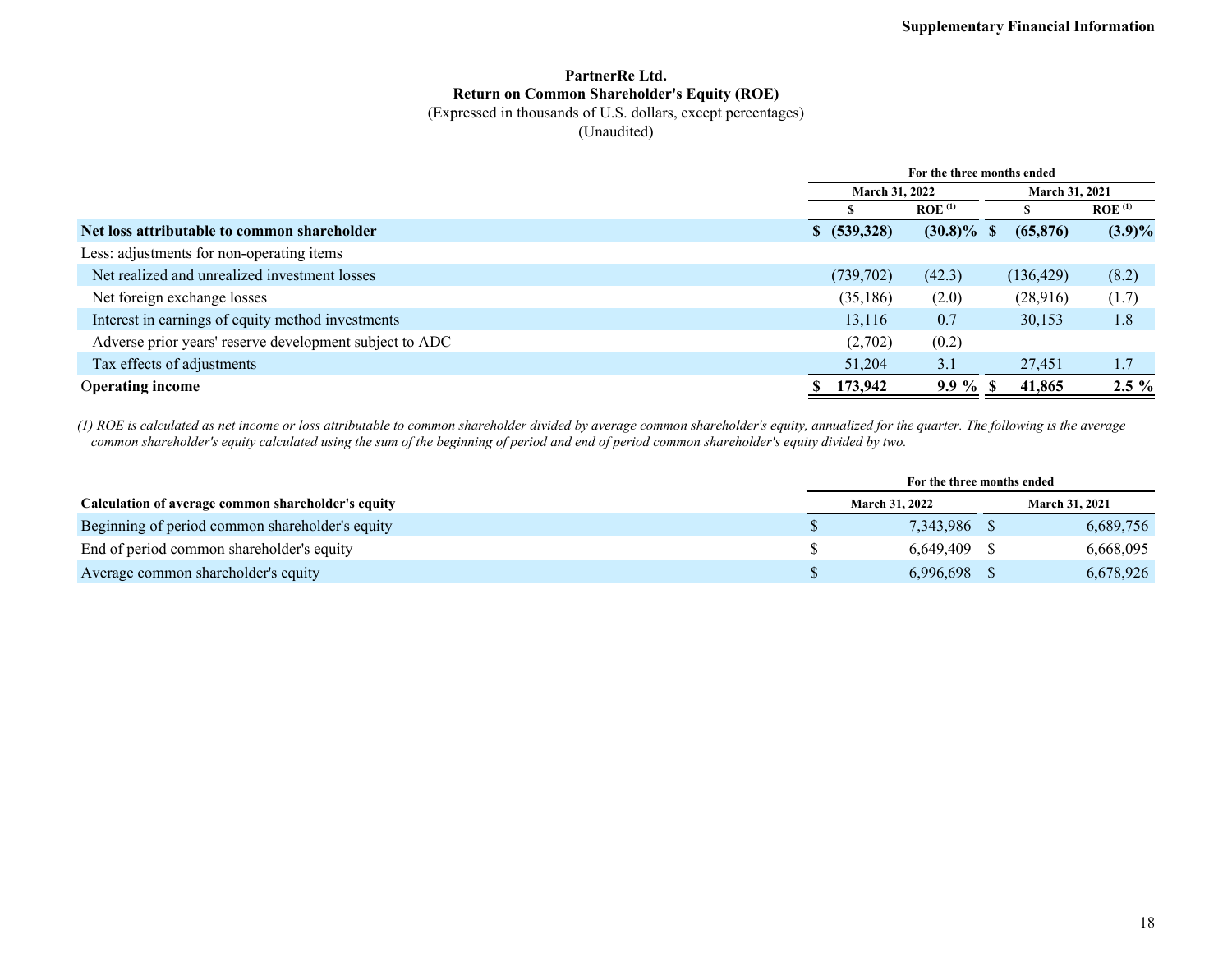### **PartnerRe Ltd. Return on Common Shareholder's Equity (ROE)**

### (Expressed in thousands of U.S. dollars, except percentages)

(Unaudited)

|                                                         | For the three months ended |                    |                       |                      |  |  |
|---------------------------------------------------------|----------------------------|--------------------|-----------------------|----------------------|--|--|
|                                                         |                            | March 31, 2022     | <b>March 31, 2021</b> |                      |  |  |
|                                                         |                            | ROE <sup>(1)</sup> |                       | $ROE$ <sup>(1)</sup> |  |  |
| Net loss attributable to common shareholder             | \$ (539,328)               | $(30.8)\%$ \$      | (65, 876)             | $(3.9)\%$            |  |  |
| Less: adjustments for non-operating items               |                            |                    |                       |                      |  |  |
| Net realized and unrealized investment losses           | (739, 702)                 | (42.3)             | (136, 429)            | (8.2)                |  |  |
| Net foreign exchange losses                             | (35, 186)                  | (2.0)              | (28,916)              | (1.7)                |  |  |
| Interest in earnings of equity method investments       | 13,116                     | 0.7                | 30,153                | 1.8                  |  |  |
| Adverse prior years' reserve development subject to ADC |                            | (2,702)<br>(0.2)   |                       |                      |  |  |
| Tax effects of adjustments                              | 51,204                     | 3.1                | 27,451                | 1.7                  |  |  |
| <b>Operating income</b>                                 | 173,942                    | $9.9 \%$ \$        | 41,865                | $2.5\%$              |  |  |

*(1) ROE is calculated as net income or loss attributable to common shareholder divided by average common shareholder's equity, annualized for the quarter. The following is the average common shareholder's equity calculated using the sum of the beginning of period and end of period common shareholder's equity divided by two.*

|                                                    | For the three months ended |                       |  |                       |
|----------------------------------------------------|----------------------------|-----------------------|--|-----------------------|
| Calculation of average common shareholder's equity |                            | <b>March 31, 2022</b> |  | <b>March 31, 2021</b> |
| Beginning of period common shareholder's equity    |                            | 7.343.986             |  | 6,689,756             |
| End of period common shareholder's equity          |                            | $6.649.409$ \$        |  | 6,668,095             |
| Average common shareholder's equity                |                            | 6.996.698             |  | 6,678,926             |